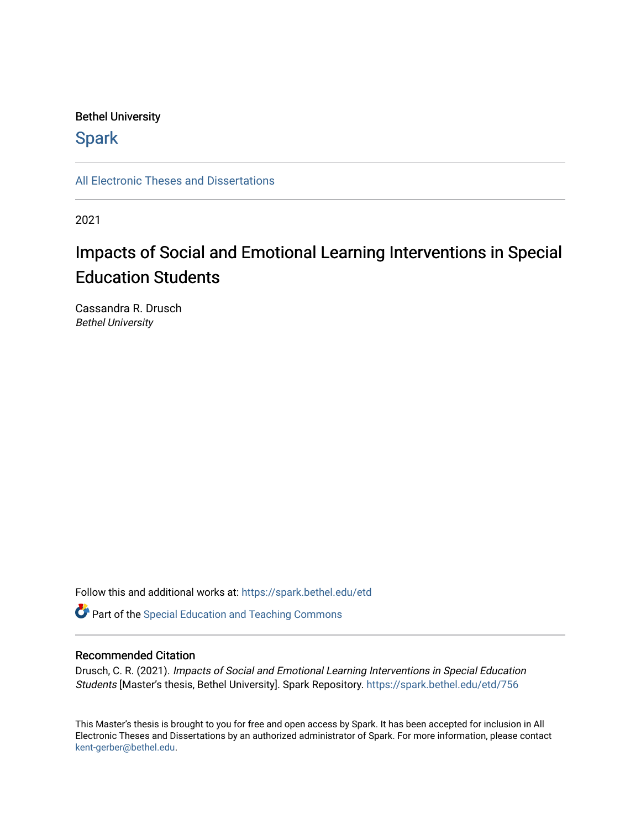## Bethel University

# **Spark**

[All Electronic Theses and Dissertations](https://spark.bethel.edu/etd) 

2021

# Impacts of Social and Emotional Learning Interventions in Special Education Students

Cassandra R. Drusch Bethel University

Follow this and additional works at: [https://spark.bethel.edu/etd](https://spark.bethel.edu/etd?utm_source=spark.bethel.edu%2Fetd%2F756&utm_medium=PDF&utm_campaign=PDFCoverPages)

**Part of the Special Education and Teaching Commons** 

#### Recommended Citation

Drusch, C. R. (2021). Impacts of Social and Emotional Learning Interventions in Special Education Students [Master's thesis, Bethel University]. Spark Repository. [https://spark.bethel.edu/etd/756](https://spark.bethel.edu/etd/756?utm_source=spark.bethel.edu%2Fetd%2F756&utm_medium=PDF&utm_campaign=PDFCoverPages) 

This Master's thesis is brought to you for free and open access by Spark. It has been accepted for inclusion in All Electronic Theses and Dissertations by an authorized administrator of Spark. For more information, please contact [kent-gerber@bethel.edu](mailto:kent-gerber@bethel.edu).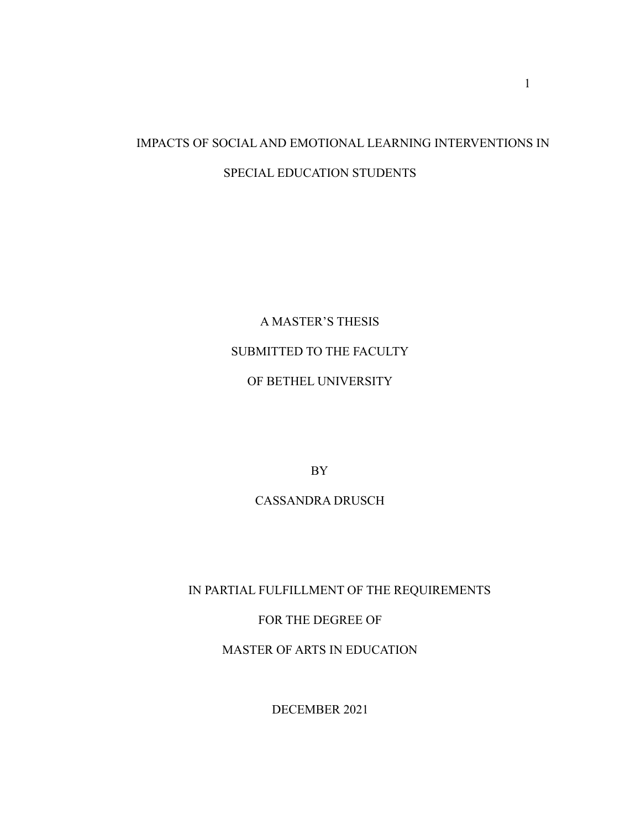# IMPACTS OF SOCIAL AND EMOTIONAL LEARNING INTERVENTIONS IN SPECIAL EDUCATION STUDENTS

A MASTER'S THESIS SUBMITTED TO THE FACULTY OF BETHEL UNIVERSITY

BY

# CASSANDRA DRUSCH

IN PARTIAL FULFILLMENT OF THE REQUIREMENTS

FOR THE DEGREE OF

MASTER OF ARTS IN EDUCATION

DECEMBER 2021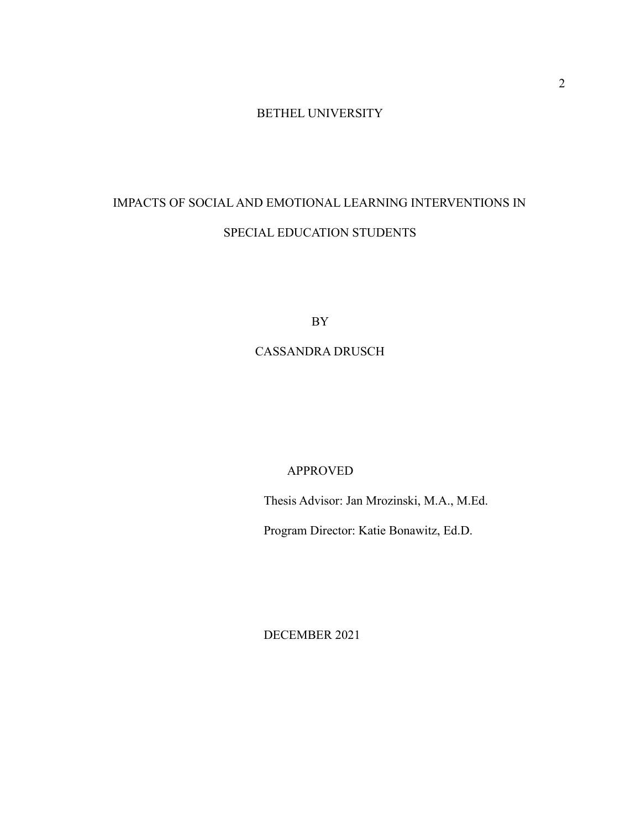# BETHEL UNIVERSITY

# IMPACTS OF SOCIAL AND EMOTIONAL LEARNING INTERVENTIONS IN SPECIAL EDUCATION STUDENTS

BY

## CASSANDRA DRUSCH

## APPROVED

Thesis Advisor: Jan Mrozinski, M.A., M.Ed.

Program Director: Katie Bonawitz, Ed.D.

DECEMBER 2021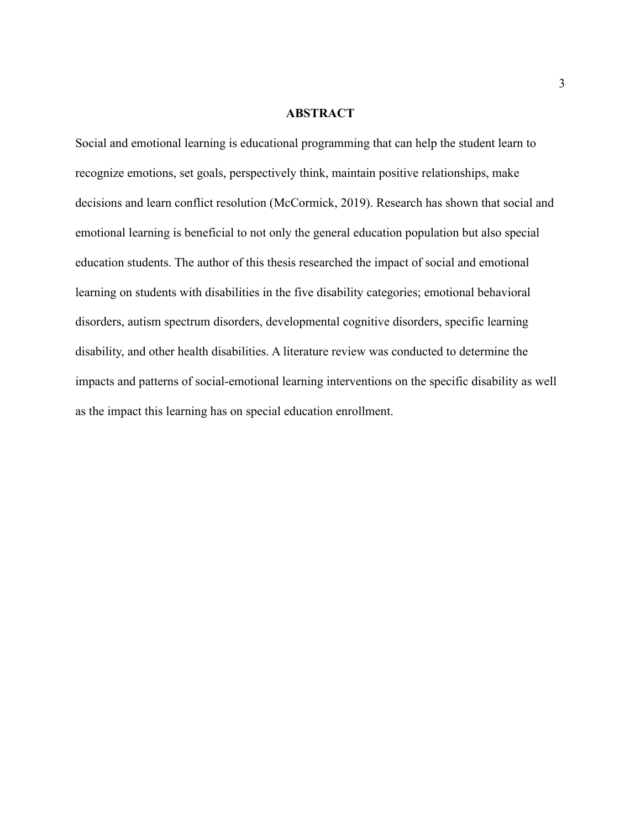#### **ABSTRACT**

Social and emotional learning is educational programming that can help the student learn to recognize emotions, set goals, perspectively think, maintain positive relationships, make decisions and learn conflict resolution (McCormick, 2019). Research has shown that social and emotional learning is beneficial to not only the general education population but also special education students. The author of this thesis researched the impact of social and emotional learning on students with disabilities in the five disability categories; emotional behavioral disorders, autism spectrum disorders, developmental cognitive disorders, specific learning disability, and other health disabilities. A literature review was conducted to determine the impacts and patterns of social-emotional learning interventions on the specific disability as well as the impact this learning has on special education enrollment.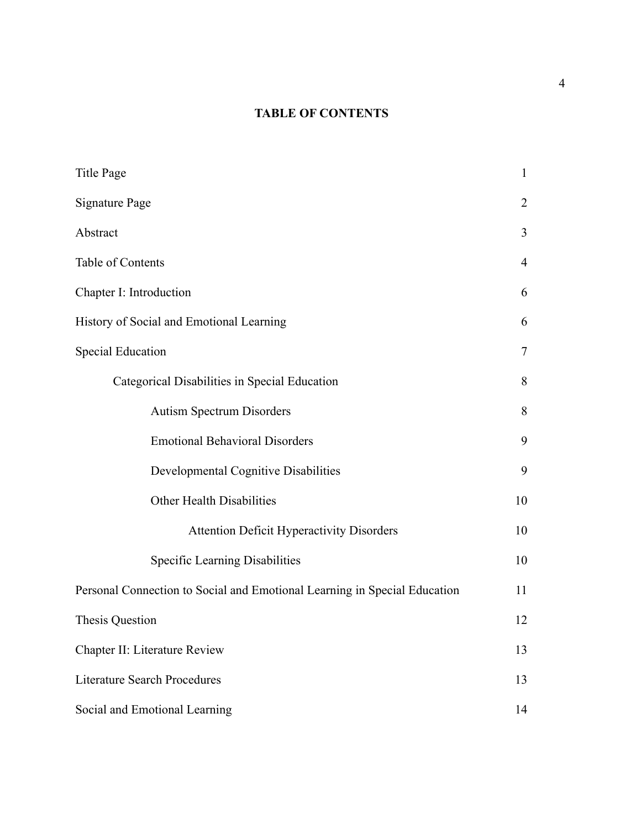# **TABLE OF CONTENTS**

| <b>Title Page</b>                                                         | $\mathbf{1}$   |
|---------------------------------------------------------------------------|----------------|
| <b>Signature Page</b>                                                     | 2              |
| Abstract                                                                  | 3              |
| Table of Contents                                                         | $\overline{4}$ |
| Chapter I: Introduction                                                   | 6              |
| History of Social and Emotional Learning                                  | 6              |
| <b>Special Education</b>                                                  | $\overline{7}$ |
| Categorical Disabilities in Special Education                             | 8              |
| <b>Autism Spectrum Disorders</b>                                          | 8              |
| <b>Emotional Behavioral Disorders</b>                                     | 9              |
| Developmental Cognitive Disabilities                                      | 9              |
| Other Health Disabilities                                                 | 10             |
| <b>Attention Deficit Hyperactivity Disorders</b>                          | 10             |
| Specific Learning Disabilities                                            | 10             |
| Personal Connection to Social and Emotional Learning in Special Education | 11             |
| <b>Thesis Question</b>                                                    | 12             |
| Chapter II: Literature Review                                             | 13             |
| <b>Literature Search Procedures</b>                                       | 13             |
| Social and Emotional Learning                                             | 14             |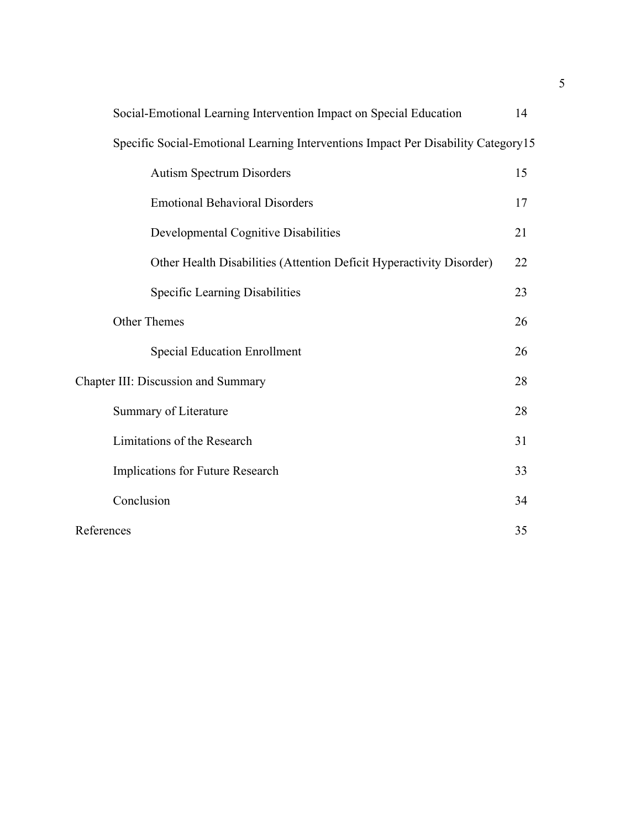| Social-Emotional Learning Intervention Impact on Special Education                | 14 |
|-----------------------------------------------------------------------------------|----|
| Specific Social-Emotional Learning Interventions Impact Per Disability Category15 |    |
| <b>Autism Spectrum Disorders</b>                                                  | 15 |
| <b>Emotional Behavioral Disorders</b>                                             | 17 |
| Developmental Cognitive Disabilities                                              | 21 |
| Other Health Disabilities (Attention Deficit Hyperactivity Disorder)              | 22 |
| Specific Learning Disabilities                                                    | 23 |
| <b>Other Themes</b>                                                               | 26 |
| <b>Special Education Enrollment</b>                                               | 26 |
| <b>Chapter III: Discussion and Summary</b>                                        | 28 |
| Summary of Literature                                                             | 28 |
| Limitations of the Research                                                       | 31 |
| Implications for Future Research                                                  | 33 |
| Conclusion                                                                        | 34 |
| References                                                                        | 35 |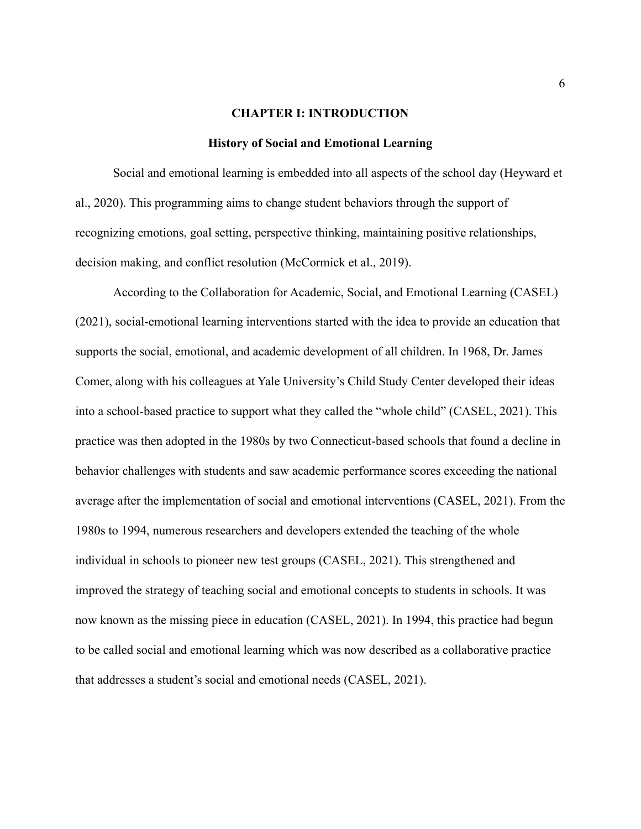#### **CHAPTER I: INTRODUCTION**

#### **History of Social and Emotional Learning**

Social and emotional learning is embedded into all aspects of the school day (Heyward et al., 2020). This programming aims to change student behaviors through the support of recognizing emotions, goal setting, perspective thinking, maintaining positive relationships, decision making, and conflict resolution (McCormick et al., 2019).

According to the Collaboration for Academic, Social, and Emotional Learning (CASEL) (2021), social-emotional learning interventions started with the idea to provide an education that supports the social, emotional, and academic development of all children. In 1968, Dr. James Comer, along with his colleagues at Yale University's Child Study Center developed their ideas into a school-based practice to support what they called the "whole child" (CASEL, 2021). This practice was then adopted in the 1980s by two Connecticut-based schools that found a decline in behavior challenges with students and saw academic performance scores exceeding the national average after the implementation of social and emotional interventions (CASEL, 2021). From the 1980s to 1994, numerous researchers and developers extended the teaching of the whole individual in schools to pioneer new test groups (CASEL, 2021). This strengthened and improved the strategy of teaching social and emotional concepts to students in schools. It was now known as the missing piece in education (CASEL, 2021). In 1994, this practice had begun to be called social and emotional learning which was now described as a collaborative practice that addresses a student's social and emotional needs (CASEL, 2021).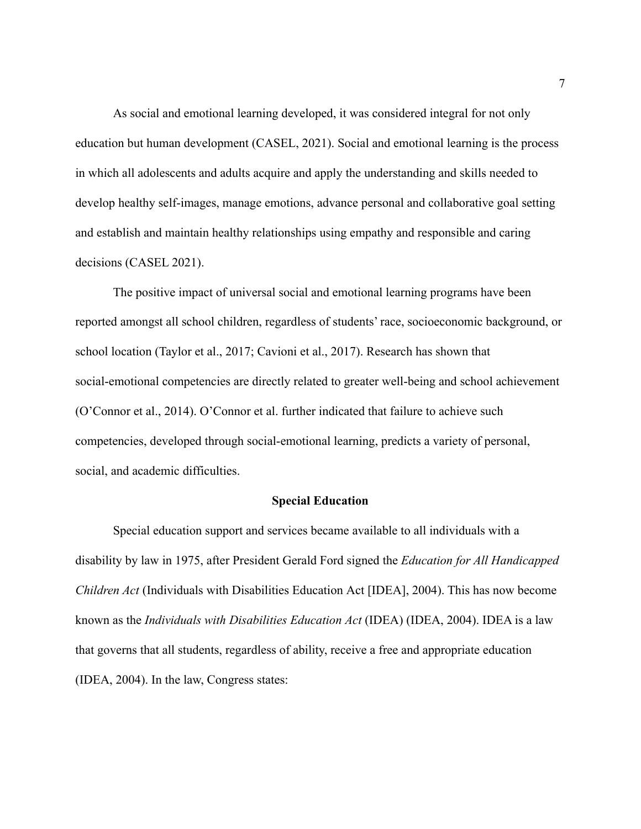As social and emotional learning developed, it was considered integral for not only education but human development (CASEL, 2021). Social and emotional learning is the process in which all adolescents and adults acquire and apply the understanding and skills needed to develop healthy self-images, manage emotions, advance personal and collaborative goal setting and establish and maintain healthy relationships using empathy and responsible and caring decisions (CASEL 2021).

The positive impact of universal social and emotional learning programs have been reported amongst all school children, regardless of students' race, socioeconomic background, or school location (Taylor et al., 2017; Cavioni et al., 2017). Research has shown that social-emotional competencies are directly related to greater well-being and school achievement (O'Connor et al., 2014). O'Connor et al. further indicated that failure to achieve such competencies, developed through social-emotional learning, predicts a variety of personal, social, and academic difficulties.

#### **Special Education**

Special education support and services became available to all individuals with a disability by law in 1975, after President Gerald Ford signed the *Education for All Handicapped Children Act* (Individuals with Disabilities Education Act [IDEA], 2004). This has now become known as the *Individuals with Disabilities Education Act* (IDEA) (IDEA, 2004). IDEA is a law that governs that all students, regardless of ability, receive a free and appropriate education (IDEA, 2004). In the law, Congress states: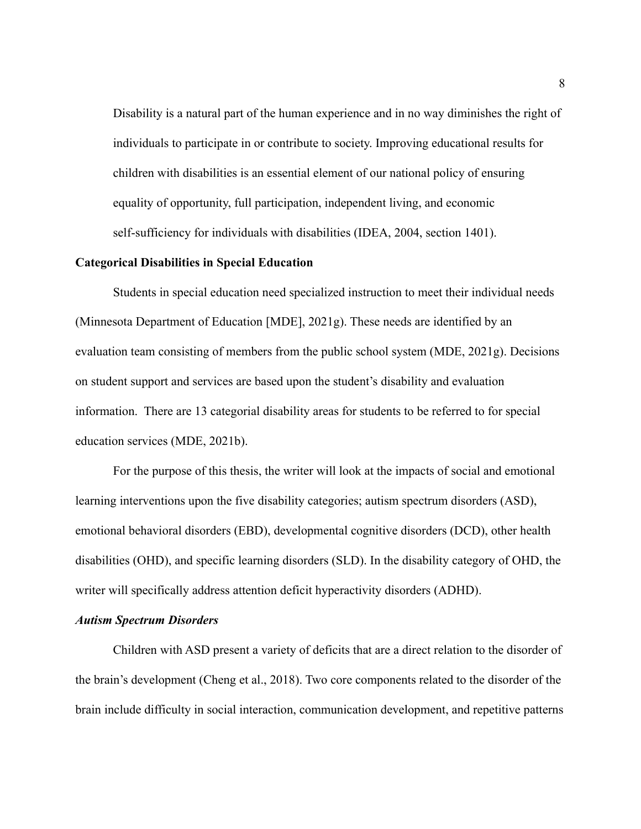Disability is a natural part of the human experience and in no way diminishes the right of individuals to participate in or contribute to society. Improving educational results for children with disabilities is an essential element of our national policy of ensuring equality of opportunity, full participation, independent living, and economic self-sufficiency for individuals with disabilities (IDEA, 2004, section 1401).

#### **Categorical Disabilities in Special Education**

Students in special education need specialized instruction to meet their individual needs (Minnesota Department of Education [MDE], 2021g). These needs are identified by an evaluation team consisting of members from the public school system (MDE, 2021g). Decisions on student support and services are based upon the student's disability and evaluation information. There are 13 categorial disability areas for students to be referred to for special education services (MDE, 2021b).

For the purpose of this thesis, the writer will look at the impacts of social and emotional learning interventions upon the five disability categories; autism spectrum disorders (ASD), emotional behavioral disorders (EBD), developmental cognitive disorders (DCD), other health disabilities (OHD), and specific learning disorders (SLD). In the disability category of OHD, the writer will specifically address attention deficit hyperactivity disorders (ADHD).

#### *Autism Spectrum Disorders*

Children with ASD present a variety of deficits that are a direct relation to the disorder of the brain's development (Cheng et al., 2018). Two core components related to the disorder of the brain include difficulty in social interaction, communication development, and repetitive patterns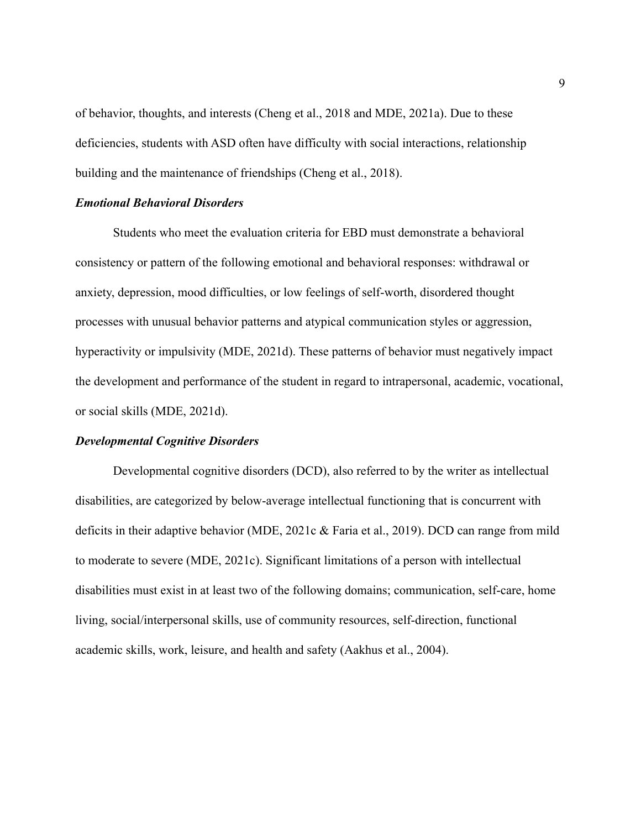of behavior, thoughts, and interests (Cheng et al., 2018 and MDE, 2021a). Due to these deficiencies, students with ASD often have difficulty with social interactions, relationship building and the maintenance of friendships (Cheng et al., 2018).

### *Emotional Behavioral Disorders*

Students who meet the evaluation criteria for EBD must demonstrate a behavioral consistency or pattern of the following emotional and behavioral responses: withdrawal or anxiety, depression, mood difficulties, or low feelings of self-worth, disordered thought processes with unusual behavior patterns and atypical communication styles or aggression, hyperactivity or impulsivity (MDE, 2021d). These patterns of behavior must negatively impact the development and performance of the student in regard to intrapersonal, academic, vocational, or social skills (MDE, 2021d).

#### *Developmental Cognitive Disorders*

Developmental cognitive disorders (DCD), also referred to by the writer as intellectual disabilities, are categorized by below-average intellectual functioning that is concurrent with deficits in their adaptive behavior (MDE, 2021c & Faria et al., 2019). DCD can range from mild to moderate to severe (MDE, 2021c). Significant limitations of a person with intellectual disabilities must exist in at least two of the following domains; communication, self-care, home living, social/interpersonal skills, use of community resources, self-direction, functional academic skills, work, leisure, and health and safety (Aakhus et al., 2004).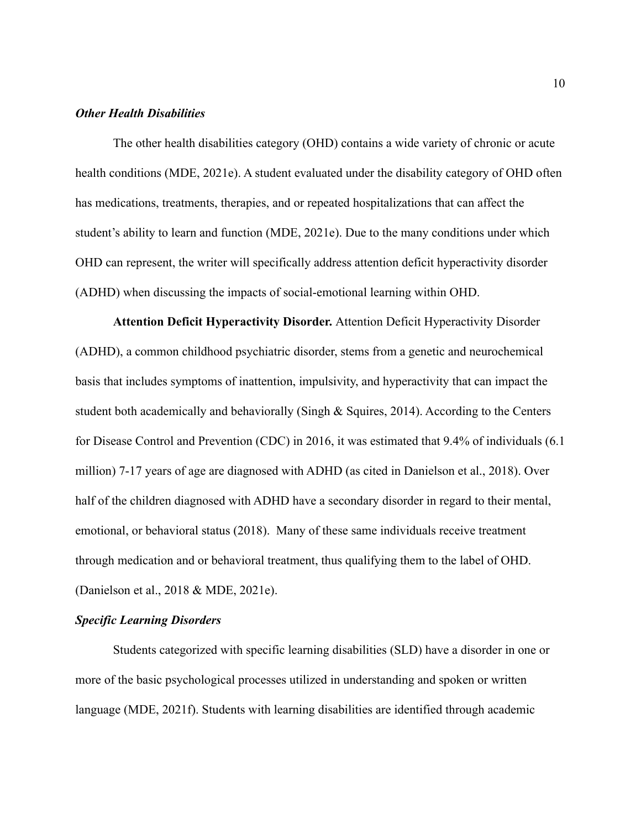#### *Other Health Disabilities*

The other health disabilities category (OHD) contains a wide variety of chronic or acute health conditions (MDE, 2021e). A student evaluated under the disability category of OHD often has medications, treatments, therapies, and or repeated hospitalizations that can affect the student's ability to learn and function (MDE, 2021e). Due to the many conditions under which OHD can represent, the writer will specifically address attention deficit hyperactivity disorder (ADHD) when discussing the impacts of social-emotional learning within OHD.

**Attention Deficit Hyperactivity Disorder.** Attention Deficit Hyperactivity Disorder (ADHD), a common childhood psychiatric disorder, stems from a genetic and neurochemical basis that includes symptoms of inattention, impulsivity, and hyperactivity that can impact the student both academically and behaviorally (Singh & Squires, 2014). According to the Centers for Disease Control and Prevention (CDC) in 2016, it was estimated that 9.4% of individuals (6.1 million) 7-17 years of age are diagnosed with ADHD (as cited in Danielson et al., 2018). Over half of the children diagnosed with ADHD have a secondary disorder in regard to their mental, emotional, or behavioral status (2018). Many of these same individuals receive treatment through medication and or behavioral treatment, thus qualifying them to the label of OHD. (Danielson et al., 2018 & MDE, 2021e).

#### *Specific Learning Disorders*

Students categorized with specific learning disabilities (SLD) have a disorder in one or more of the basic psychological processes utilized in understanding and spoken or written language (MDE, 2021f). Students with learning disabilities are identified through academic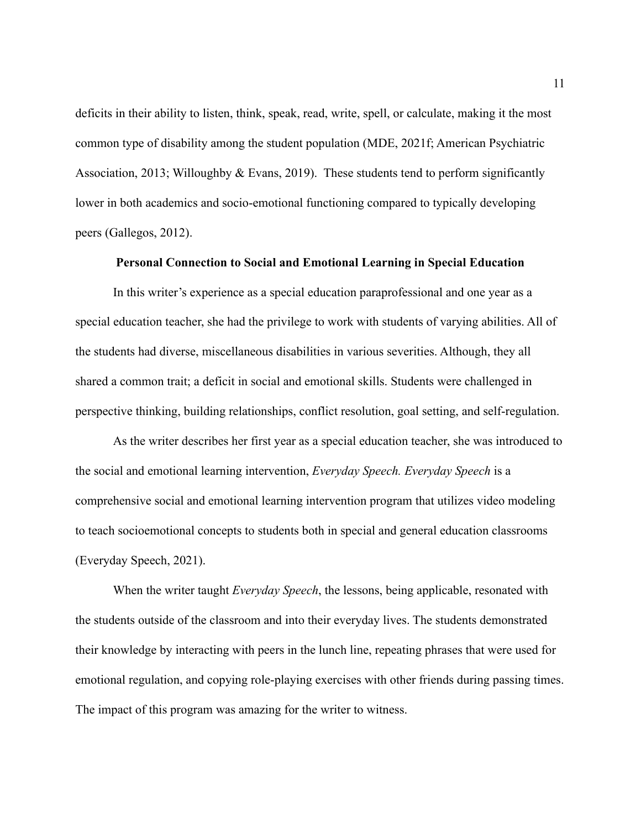deficits in their ability to listen, think, speak, read, write, spell, or calculate, making it the most common type of disability among the student population (MDE, 2021f; American Psychiatric Association, 2013; Willoughby & Evans, 2019). These students tend to perform significantly lower in both academics and socio-emotional functioning compared to typically developing peers (Gallegos, 2012).

#### **Personal Connection to Social and Emotional Learning in Special Education**

In this writer's experience as a special education paraprofessional and one year as a special education teacher, she had the privilege to work with students of varying abilities. All of the students had diverse, miscellaneous disabilities in various severities. Although, they all shared a common trait; a deficit in social and emotional skills. Students were challenged in perspective thinking, building relationships, conflict resolution, goal setting, and self-regulation.

As the writer describes her first year as a special education teacher, she was introduced to the social and emotional learning intervention, *Everyday Speech. Everyday Speech* is a comprehensive social and emotional learning intervention program that utilizes video modeling to teach socioemotional concepts to students both in special and general education classrooms (Everyday Speech, 2021).

When the writer taught *Everyday Speech*, the lessons, being applicable, resonated with the students outside of the classroom and into their everyday lives. The students demonstrated their knowledge by interacting with peers in the lunch line, repeating phrases that were used for emotional regulation, and copying role-playing exercises with other friends during passing times. The impact of this program was amazing for the writer to witness.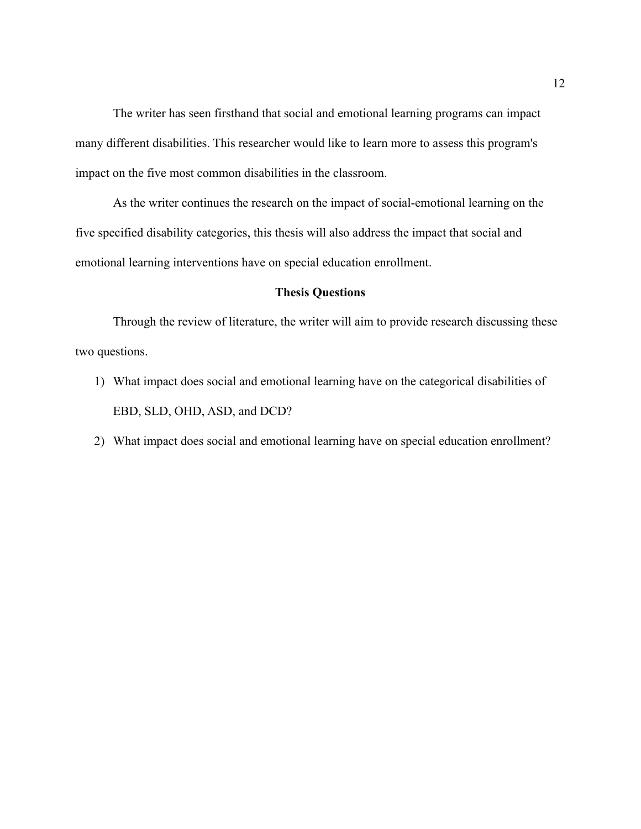The writer has seen firsthand that social and emotional learning programs can impact many different disabilities. This researcher would like to learn more to assess this program's impact on the five most common disabilities in the classroom.

As the writer continues the research on the impact of social-emotional learning on the five specified disability categories, this thesis will also address the impact that social and emotional learning interventions have on special education enrollment.

#### **Thesis Questions**

Through the review of literature, the writer will aim to provide research discussing these two questions.

- 1) What impact does social and emotional learning have on the categorical disabilities of EBD, SLD, OHD, ASD, and DCD?
- 2) What impact does social and emotional learning have on special education enrollment?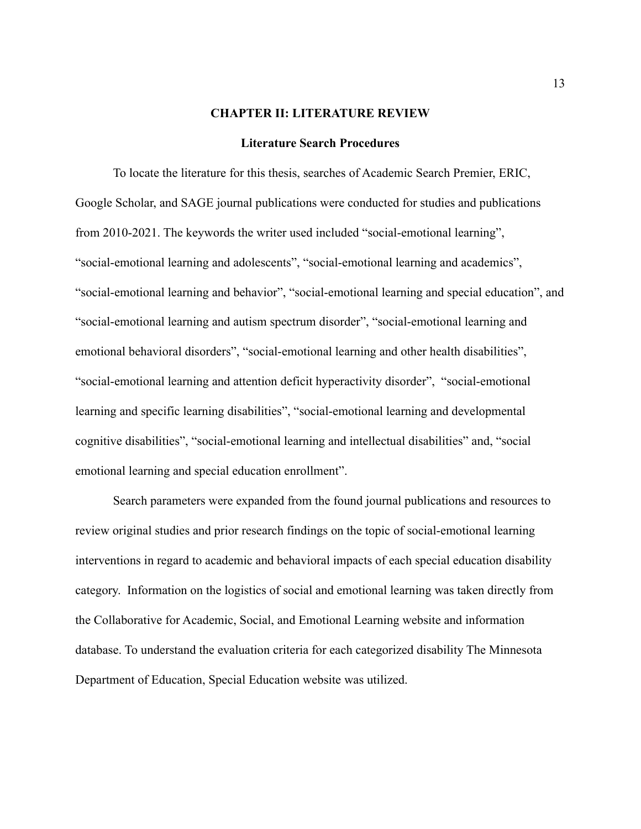#### **CHAPTER II: LITERATURE REVIEW**

#### **Literature Search Procedures**

To locate the literature for this thesis, searches of Academic Search Premier, ERIC, Google Scholar, and SAGE journal publications were conducted for studies and publications from 2010-2021. The keywords the writer used included "social-emotional learning", "social-emotional learning and adolescents", "social-emotional learning and academics", "social-emotional learning and behavior", "social-emotional learning and special education", and "social-emotional learning and autism spectrum disorder", "social-emotional learning and emotional behavioral disorders", "social-emotional learning and other health disabilities", "social-emotional learning and attention deficit hyperactivity disorder", "social-emotional learning and specific learning disabilities", "social-emotional learning and developmental cognitive disabilities", "social-emotional learning and intellectual disabilities" and, "social emotional learning and special education enrollment".

Search parameters were expanded from the found journal publications and resources to review original studies and prior research findings on the topic of social-emotional learning interventions in regard to academic and behavioral impacts of each special education disability category. Information on the logistics of social and emotional learning was taken directly from the Collaborative for Academic, Social, and Emotional Learning website and information database. To understand the evaluation criteria for each categorized disability The Minnesota Department of Education, Special Education website was utilized.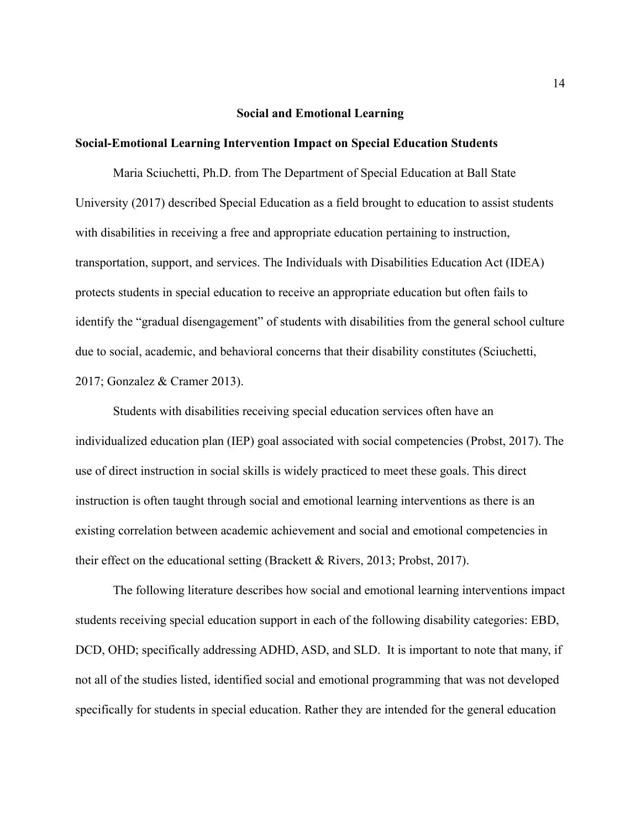#### **Social and Emotional Learning**

#### **Social-Emotional Learning Intervention Impact on Special Education Students**

Maria Sciuchetti, Ph.D. from The Department of Special Education at Ball State University (2017) described Special Education as a field brought to education to assist students with disabilities in receiving a free and appropriate education pertaining to instruction, transportation, support, and services. The Individuals with Disabilities Education Act (IDEA) protects students in special education to receive an appropriate education but often fails to identify the "gradual disengagement" of students with disabilities from the general school culture due to social, academic, and behavioral concerns that their disability constitutes (Sciuchetti, 2017; Gonzalez & Cramer 2013).

Students with disabilities receiving special education services often have an individualized education plan (IEP) goal associated with social competencies (Probst, 2017). The use of direct instruction in social skills is widely practiced to meet these goals. This direct instruction is often taught through social and emotional learning interventions as there is an existing correlation between academic achievement and social and emotional competencies in their effect on the educational setting (Brackett  $&$  Rivers, 2013; Probst, 2017).

The following literature describes how social and emotional learning interventions impact students receiving special education support in each of the following disability categories: EBD, DCD, OHD; specifically addressing ADHD, ASD, and SLD. It is important to note that many, if not all of the studies listed, identified social and emotional programming that was not developed specifically for students in special education. Rather they are intended for the general education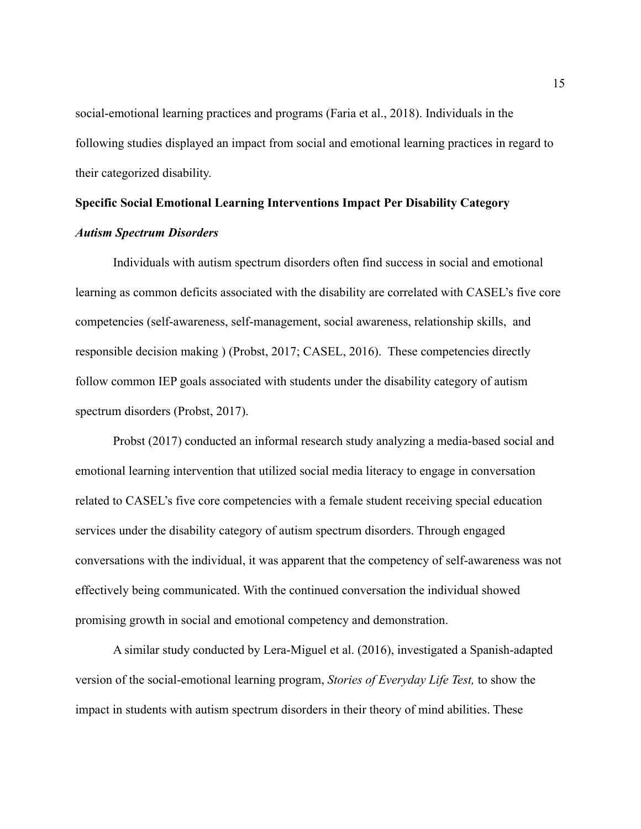social-emotional learning practices and programs (Faria et al., 2018). Individuals in the following studies displayed an impact from social and emotional learning practices in regard to their categorized disability.

# **Specific Social Emotional Learning Interventions Impact Per Disability Category** *Autism Spectrum Disorders*

Individuals with autism spectrum disorders often find success in social and emotional learning as common deficits associated with the disability are correlated with CASEL's five core competencies (self-awareness, self-management, social awareness, relationship skills, and responsible decision making ) (Probst, 2017; CASEL, 2016). These competencies directly follow common IEP goals associated with students under the disability category of autism spectrum disorders (Probst, 2017).

Probst (2017) conducted an informal research study analyzing a media-based social and emotional learning intervention that utilized social media literacy to engage in conversation related to CASEL's five core competencies with a female student receiving special education services under the disability category of autism spectrum disorders. Through engaged conversations with the individual, it was apparent that the competency of self-awareness was not effectively being communicated. With the continued conversation the individual showed promising growth in social and emotional competency and demonstration.

A similar study conducted by Lera-Miguel et al. (2016), investigated a Spanish-adapted version of the social-emotional learning program, *Stories of Everyday Life Test,* to show the impact in students with autism spectrum disorders in their theory of mind abilities. These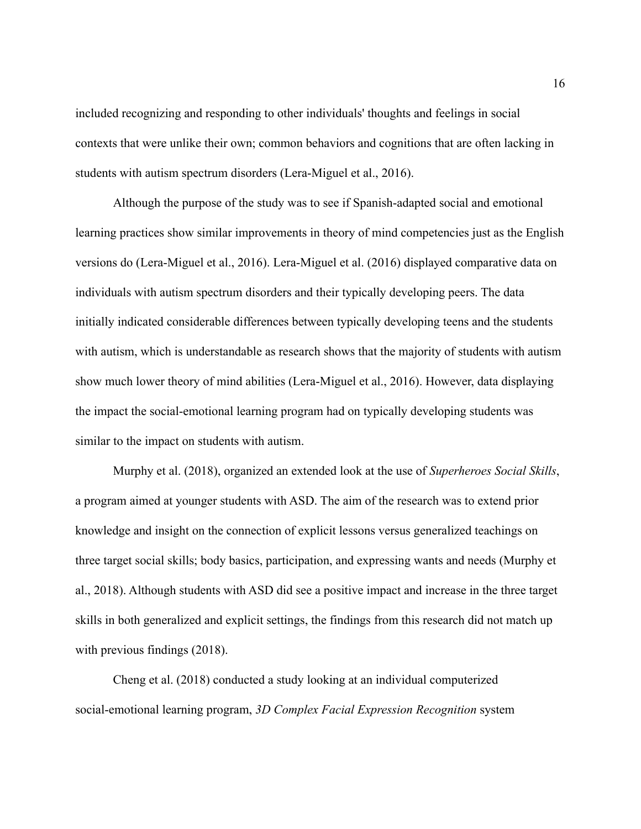included recognizing and responding to other individuals' thoughts and feelings in social contexts that were unlike their own; common behaviors and cognitions that are often lacking in students with autism spectrum disorders (Lera-Miguel et al., 2016).

Although the purpose of the study was to see if Spanish-adapted social and emotional learning practices show similar improvements in theory of mind competencies just as the English versions do (Lera-Miguel et al., 2016). Lera-Miguel et al. (2016) displayed comparative data on individuals with autism spectrum disorders and their typically developing peers. The data initially indicated considerable differences between typically developing teens and the students with autism, which is understandable as research shows that the majority of students with autism show much lower theory of mind abilities (Lera-Miguel et al., 2016). However, data displaying the impact the social-emotional learning program had on typically developing students was similar to the impact on students with autism.

Murphy et al. (2018), organized an extended look at the use of *Superheroes Social Skills*, a program aimed at younger students with ASD. The aim of the research was to extend prior knowledge and insight on the connection of explicit lessons versus generalized teachings on three target social skills; body basics, participation, and expressing wants and needs (Murphy et al., 2018). Although students with ASD did see a positive impact and increase in the three target skills in both generalized and explicit settings, the findings from this research did not match up with previous findings (2018).

Cheng et al. (2018) conducted a study looking at an individual computerized social-emotional learning program, *3D Complex Facial Expression Recognition* system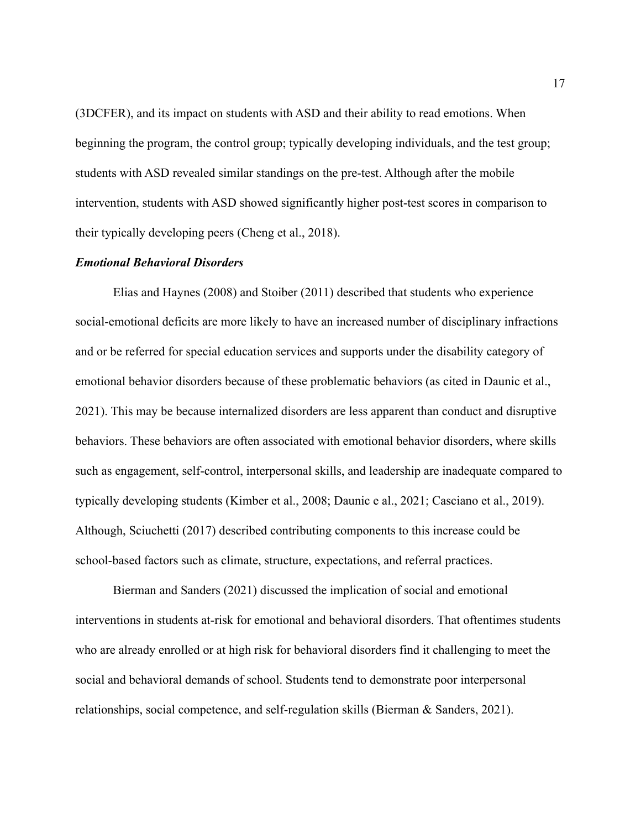(3DCFER), and its impact on students with ASD and their ability to read emotions. When beginning the program, the control group; typically developing individuals, and the test group; students with ASD revealed similar standings on the pre-test. Although after the mobile intervention, students with ASD showed significantly higher post-test scores in comparison to their typically developing peers (Cheng et al., 2018).

#### *Emotional Behavioral Disorders*

Elias and Haynes (2008) and Stoiber (2011) described that students who experience social-emotional deficits are more likely to have an increased number of disciplinary infractions and or be referred for special education services and supports under the disability category of emotional behavior disorders because of these problematic behaviors (as cited in Daunic et al., 2021). This may be because internalized disorders are less apparent than conduct and disruptive behaviors. These behaviors are often associated with emotional behavior disorders, where skills such as engagement, self-control, interpersonal skills, and leadership are inadequate compared to typically developing students (Kimber et al., 2008; Daunic e al., 2021; Casciano et al., 2019). Although, Sciuchetti (2017) described contributing components to this increase could be school-based factors such as climate, structure, expectations, and referral practices.

Bierman and Sanders (2021) discussed the implication of social and emotional interventions in students at-risk for emotional and behavioral disorders. That oftentimes students who are already enrolled or at high risk for behavioral disorders find it challenging to meet the social and behavioral demands of school. Students tend to demonstrate poor interpersonal relationships, social competence, and self-regulation skills (Bierman & Sanders, 2021).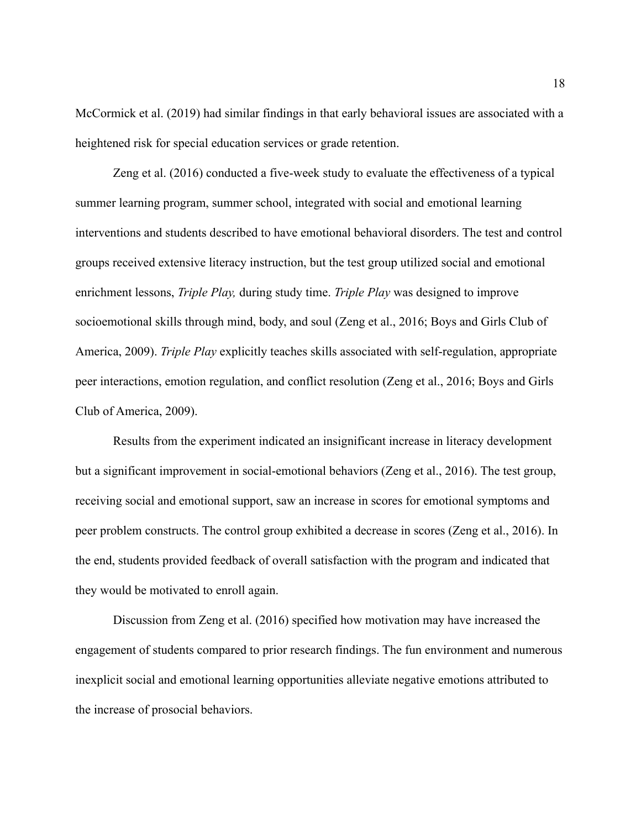McCormick et al. (2019) had similar findings in that early behavioral issues are associated with a heightened risk for special education services or grade retention.

Zeng et al. (2016) conducted a five-week study to evaluate the effectiveness of a typical summer learning program, summer school, integrated with social and emotional learning interventions and students described to have emotional behavioral disorders. The test and control groups received extensive literacy instruction, but the test group utilized social and emotional enrichment lessons, *Triple Play,* during study time. *Triple Play* was designed to improve socioemotional skills through mind, body, and soul (Zeng et al., 2016; Boys and Girls Club of America, 2009). *Triple Play* explicitly teaches skills associated with self-regulation, appropriate peer interactions, emotion regulation, and conflict resolution (Zeng et al., 2016; Boys and Girls Club of America, 2009).

Results from the experiment indicated an insignificant increase in literacy development but a significant improvement in social-emotional behaviors (Zeng et al., 2016). The test group, receiving social and emotional support, saw an increase in scores for emotional symptoms and peer problem constructs. The control group exhibited a decrease in scores (Zeng et al., 2016). In the end, students provided feedback of overall satisfaction with the program and indicated that they would be motivated to enroll again.

Discussion from Zeng et al. (2016) specified how motivation may have increased the engagement of students compared to prior research findings. The fun environment and numerous inexplicit social and emotional learning opportunities alleviate negative emotions attributed to the increase of prosocial behaviors.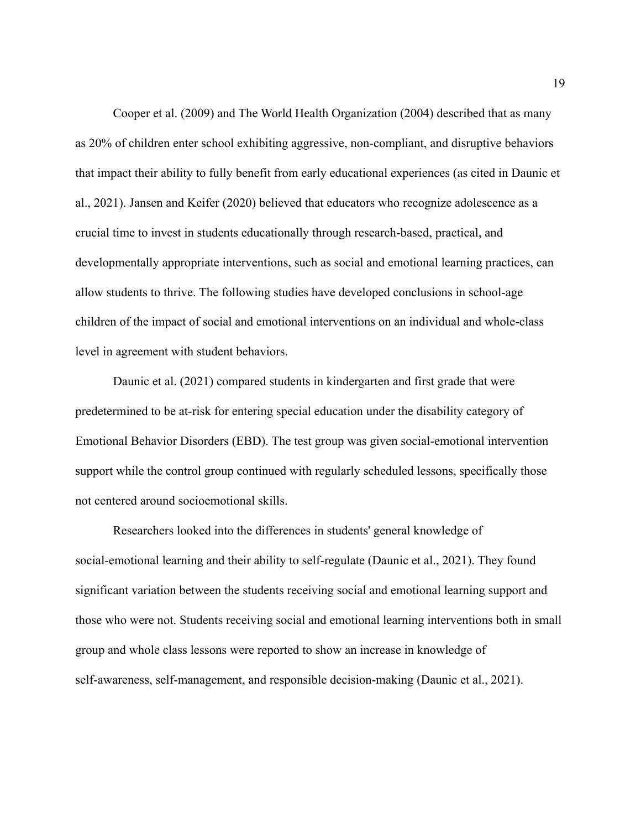Cooper et al. (2009) and The World Health Organization (2004) described that as many as 20% of children enter school exhibiting aggressive, non-compliant, and disruptive behaviors that impact their ability to fully benefit from early educational experiences (as cited in Daunic et al., 2021). Jansen and Keifer (2020) believed that educators who recognize adolescence as a crucial time to invest in students educationally through research-based, practical, and developmentally appropriate interventions, such as social and emotional learning practices, can allow students to thrive. The following studies have developed conclusions in school-age children of the impact of social and emotional interventions on an individual and whole-class level in agreement with student behaviors.

Daunic et al. (2021) compared students in kindergarten and first grade that were predetermined to be at-risk for entering special education under the disability category of Emotional Behavior Disorders (EBD). The test group was given social-emotional intervention support while the control group continued with regularly scheduled lessons, specifically those not centered around socioemotional skills.

Researchers looked into the differences in students' general knowledge of social-emotional learning and their ability to self-regulate (Daunic et al., 2021). They found significant variation between the students receiving social and emotional learning support and those who were not. Students receiving social and emotional learning interventions both in small group and whole class lessons were reported to show an increase in knowledge of self-awareness, self-management, and responsible decision-making (Daunic et al., 2021).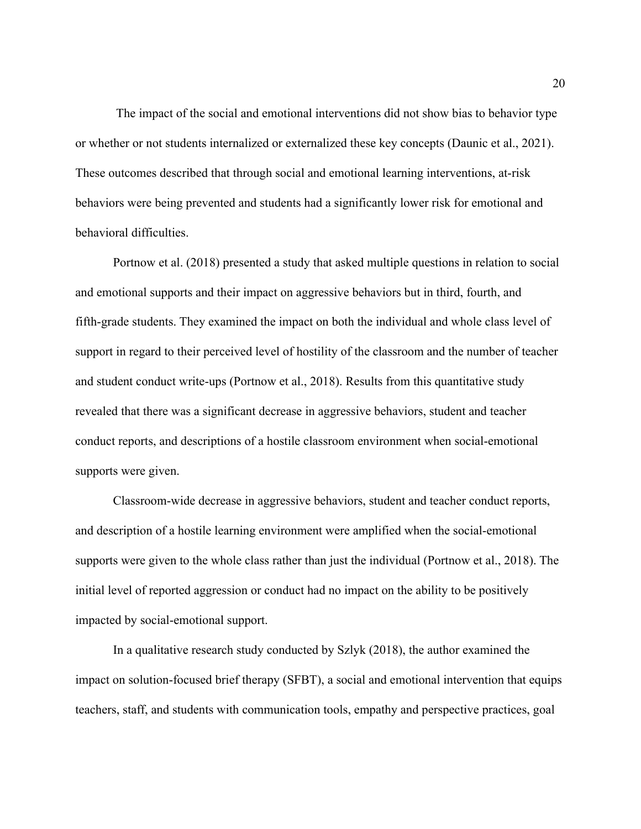The impact of the social and emotional interventions did not show bias to behavior type or whether or not students internalized or externalized these key concepts (Daunic et al., 2021). These outcomes described that through social and emotional learning interventions, at-risk behaviors were being prevented and students had a significantly lower risk for emotional and behavioral difficulties.

Portnow et al. (2018) presented a study that asked multiple questions in relation to social and emotional supports and their impact on aggressive behaviors but in third, fourth, and fifth-grade students. They examined the impact on both the individual and whole class level of support in regard to their perceived level of hostility of the classroom and the number of teacher and student conduct write-ups (Portnow et al., 2018). Results from this quantitative study revealed that there was a significant decrease in aggressive behaviors, student and teacher conduct reports, and descriptions of a hostile classroom environment when social-emotional supports were given.

Classroom-wide decrease in aggressive behaviors, student and teacher conduct reports, and description of a hostile learning environment were amplified when the social-emotional supports were given to the whole class rather than just the individual (Portnow et al., 2018). The initial level of reported aggression or conduct had no impact on the ability to be positively impacted by social-emotional support.

In a qualitative research study conducted by Szlyk (2018), the author examined the impact on solution-focused brief therapy (SFBT), a social and emotional intervention that equips teachers, staff, and students with communication tools, empathy and perspective practices, goal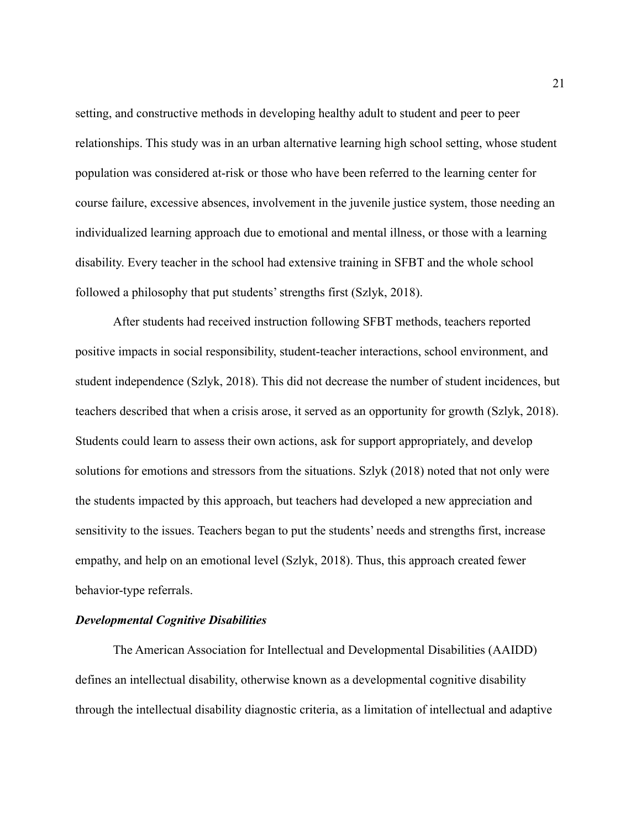setting, and constructive methods in developing healthy adult to student and peer to peer relationships. This study was in an urban alternative learning high school setting, whose student population was considered at-risk or those who have been referred to the learning center for course failure, excessive absences, involvement in the juvenile justice system, those needing an individualized learning approach due to emotional and mental illness, or those with a learning disability. Every teacher in the school had extensive training in SFBT and the whole school followed a philosophy that put students' strengths first (Szlyk, 2018).

After students had received instruction following SFBT methods, teachers reported positive impacts in social responsibility, student-teacher interactions, school environment, and student independence (Szlyk, 2018). This did not decrease the number of student incidences, but teachers described that when a crisis arose, it served as an opportunity for growth (Szlyk, 2018). Students could learn to assess their own actions, ask for support appropriately, and develop solutions for emotions and stressors from the situations. Szlyk (2018) noted that not only were the students impacted by this approach, but teachers had developed a new appreciation and sensitivity to the issues. Teachers began to put the students' needs and strengths first, increase empathy, and help on an emotional level (Szlyk, 2018). Thus, this approach created fewer behavior-type referrals.

#### *Developmental Cognitive Disabilities*

The American Association for Intellectual and Developmental Disabilities (AAIDD) defines an intellectual disability, otherwise known as a developmental cognitive disability through the intellectual disability diagnostic criteria, as a limitation of intellectual and adaptive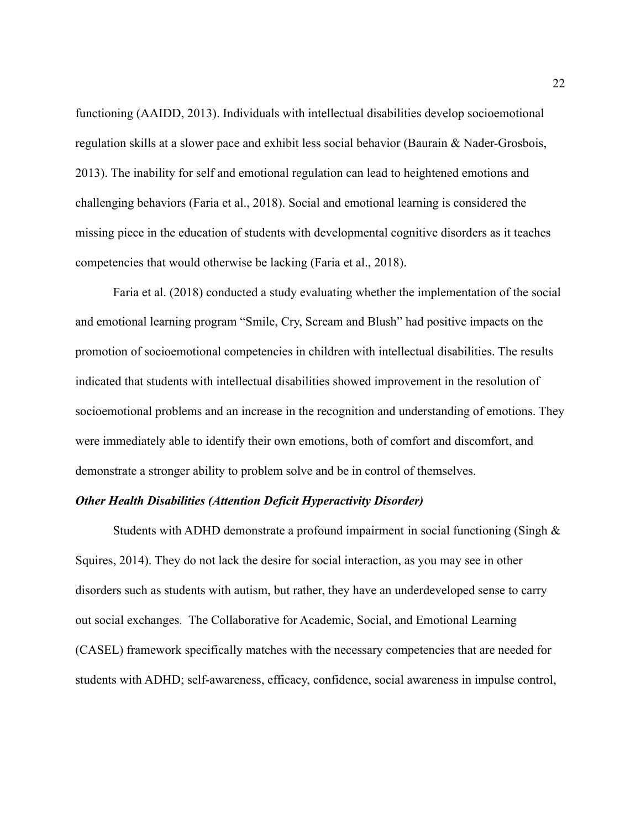functioning (AAIDD, 2013). Individuals with intellectual disabilities develop socioemotional regulation skills at a slower pace and exhibit less social behavior (Baurain & Nader-Grosbois, 2013). The inability for self and emotional regulation can lead to heightened emotions and challenging behaviors (Faria et al., 2018). Social and emotional learning is considered the missing piece in the education of students with developmental cognitive disorders as it teaches competencies that would otherwise be lacking (Faria et al., 2018).

Faria et al. (2018) conducted a study evaluating whether the implementation of the social and emotional learning program "Smile, Cry, Scream and Blush" had positive impacts on the promotion of socioemotional competencies in children with intellectual disabilities. The results indicated that students with intellectual disabilities showed improvement in the resolution of socioemotional problems and an increase in the recognition and understanding of emotions. They were immediately able to identify their own emotions, both of comfort and discomfort, and demonstrate a stronger ability to problem solve and be in control of themselves.

#### *Other Health Disabilities (Attention Deficit Hyperactivity Disorder)*

Students with ADHD demonstrate a profound impairment in social functioning (Singh  $\&$ Squires, 2014). They do not lack the desire for social interaction, as you may see in other disorders such as students with autism, but rather, they have an underdeveloped sense to carry out social exchanges. The Collaborative for Academic, Social, and Emotional Learning (CASEL) framework specifically matches with the necessary competencies that are needed for students with ADHD; self-awareness, efficacy, confidence, social awareness in impulse control,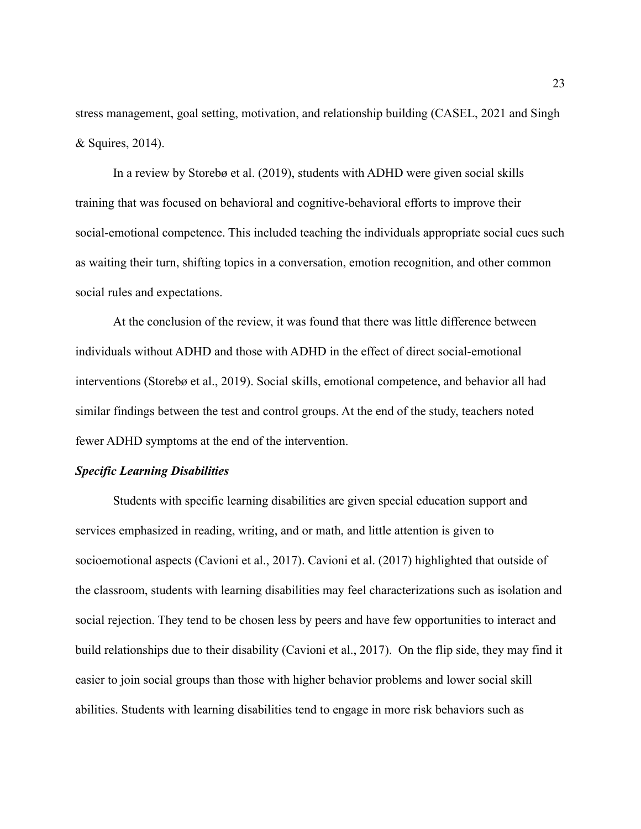stress management, goal setting, motivation, and relationship building (CASEL, 2021 and Singh & Squires, 2014).

In a review by Storebø et al. (2019), students with ADHD were given social skills training that was focused on behavioral and cognitive-behavioral efforts to improve their social-emotional competence. This included teaching the individuals appropriate social cues such as waiting their turn, shifting topics in a conversation, emotion recognition, and other common social rules and expectations.

At the conclusion of the review, it was found that there was little difference between individuals without ADHD and those with ADHD in the effect of direct social-emotional interventions (Storebø et al., 2019). Social skills, emotional competence, and behavior all had similar findings between the test and control groups. At the end of the study, teachers noted fewer ADHD symptoms at the end of the intervention.

### *Specific Learning Disabilities*

Students with specific learning disabilities are given special education support and services emphasized in reading, writing, and or math, and little attention is given to socioemotional aspects (Cavioni et al., 2017). Cavioni et al. (2017) highlighted that outside of the classroom, students with learning disabilities may feel characterizations such as isolation and social rejection. They tend to be chosen less by peers and have few opportunities to interact and build relationships due to their disability (Cavioni et al., 2017). On the flip side, they may find it easier to join social groups than those with higher behavior problems and lower social skill abilities. Students with learning disabilities tend to engage in more risk behaviors such as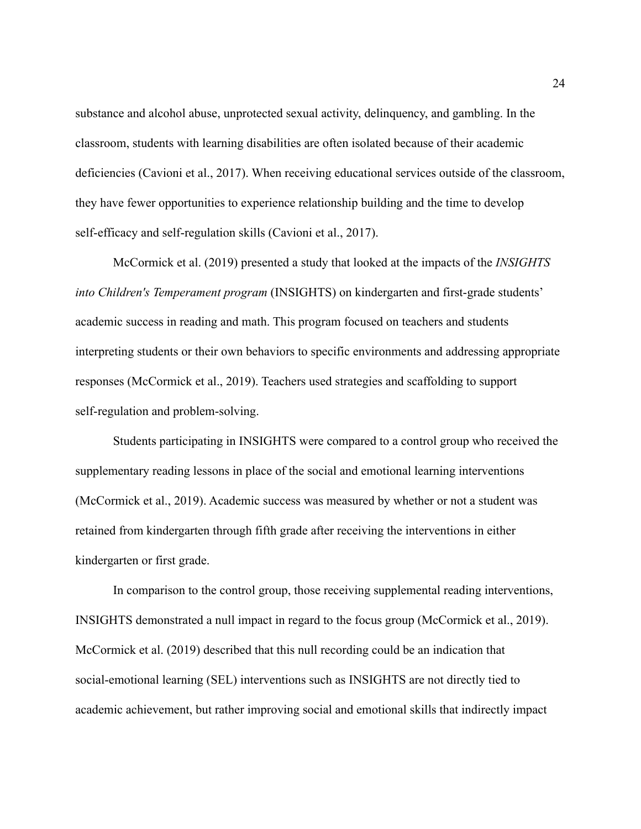substance and alcohol abuse, unprotected sexual activity, delinquency, and gambling. In the classroom, students with learning disabilities are often isolated because of their academic deficiencies (Cavioni et al., 2017). When receiving educational services outside of the classroom, they have fewer opportunities to experience relationship building and the time to develop self-efficacy and self-regulation skills (Cavioni et al., 2017).

McCormick et al. (2019) presented a study that looked at the impacts of the *INSIGHTS into Children's Temperament program* (INSIGHTS) on kindergarten and first-grade students' academic success in reading and math. This program focused on teachers and students interpreting students or their own behaviors to specific environments and addressing appropriate responses (McCormick et al., 2019). Teachers used strategies and scaffolding to support self-regulation and problem-solving.

Students participating in INSIGHTS were compared to a control group who received the supplementary reading lessons in place of the social and emotional learning interventions (McCormick et al., 2019). Academic success was measured by whether or not a student was retained from kindergarten through fifth grade after receiving the interventions in either kindergarten or first grade.

In comparison to the control group, those receiving supplemental reading interventions, INSIGHTS demonstrated a null impact in regard to the focus group (McCormick et al., 2019). McCormick et al. (2019) described that this null recording could be an indication that social-emotional learning (SEL) interventions such as INSIGHTS are not directly tied to academic achievement, but rather improving social and emotional skills that indirectly impact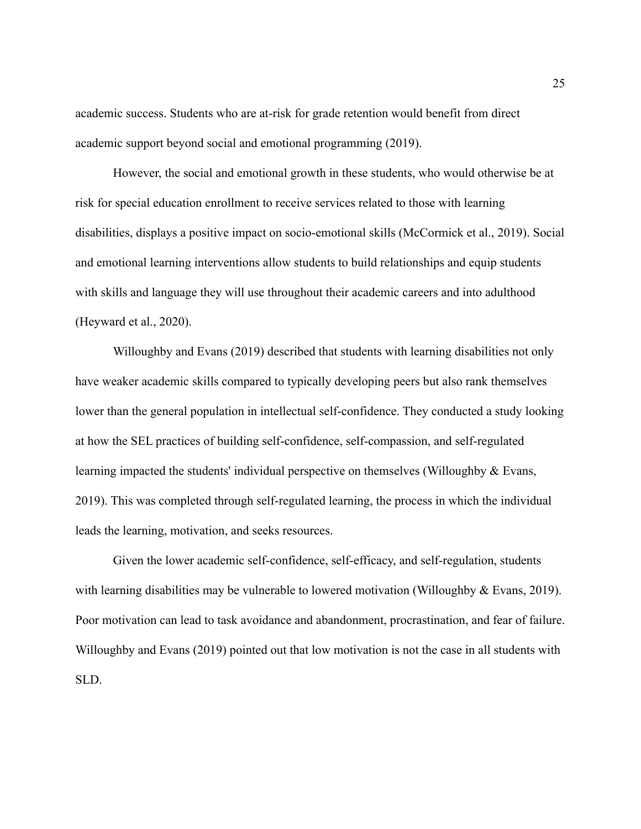academic success. Students who are at-risk for grade retention would benefit from direct academic support beyond social and emotional programming (2019).

However, the social and emotional growth in these students, who would otherwise be at risk for special education enrollment to receive services related to those with learning disabilities, displays a positive impact on socio-emotional skills (McCormick et al., 2019). Social and emotional learning interventions allow students to build relationships and equip students with skills and language they will use throughout their academic careers and into adulthood (Heyward et al., 2020).

Willoughby and Evans (2019) described that students with learning disabilities not only have weaker academic skills compared to typically developing peers but also rank themselves lower than the general population in intellectual self-confidence. They conducted a study looking at how the SEL practices of building self-confidence, self-compassion, and self-regulated learning impacted the students' individual perspective on themselves (Willoughby & Evans, 2019). This was completed through self-regulated learning, the process in which the individual leads the learning, motivation, and seeks resources.

Given the lower academic self-confidence, self-efficacy, and self-regulation, students with learning disabilities may be vulnerable to lowered motivation (Willoughby & Evans, 2019). Poor motivation can lead to task avoidance and abandonment, procrastination, and fear of failure. Willoughby and Evans (2019) pointed out that low motivation is not the case in all students with SLD.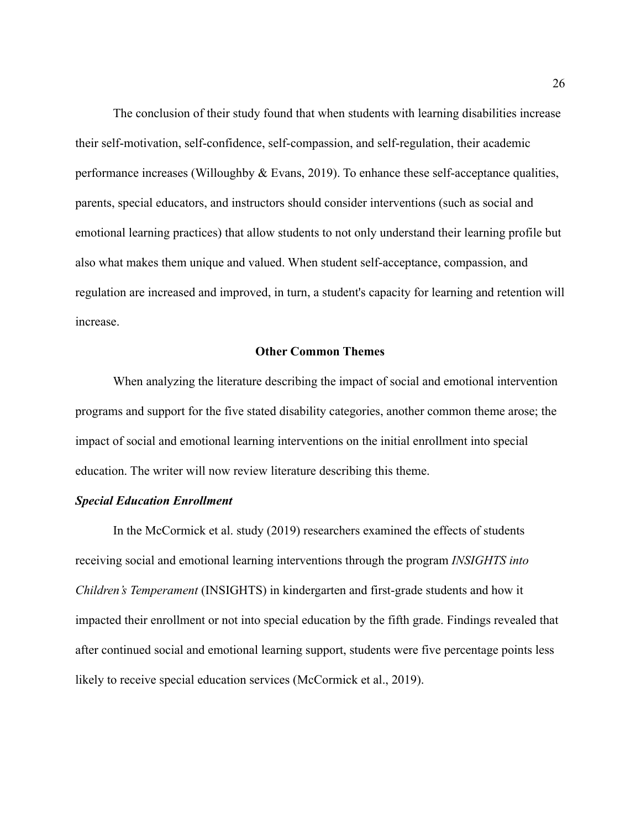The conclusion of their study found that when students with learning disabilities increase their self-motivation, self-confidence, self-compassion, and self-regulation, their academic performance increases (Willoughby & Evans, 2019). To enhance these self-acceptance qualities, parents, special educators, and instructors should consider interventions (such as social and emotional learning practices) that allow students to not only understand their learning profile but also what makes them unique and valued. When student self-acceptance, compassion, and regulation are increased and improved, in turn, a student's capacity for learning and retention will increase.

#### **Other Common Themes**

When analyzing the literature describing the impact of social and emotional intervention programs and support for the five stated disability categories, another common theme arose; the impact of social and emotional learning interventions on the initial enrollment into special education. The writer will now review literature describing this theme.

#### *Special Education Enrollment*

In the McCormick et al. study (2019) researchers examined the effects of students receiving social and emotional learning interventions through the program *INSIGHTS into Children's Temperament* (INSIGHTS) in kindergarten and first-grade students and how it impacted their enrollment or not into special education by the fifth grade. Findings revealed that after continued social and emotional learning support, students were five percentage points less likely to receive special education services (McCormick et al., 2019).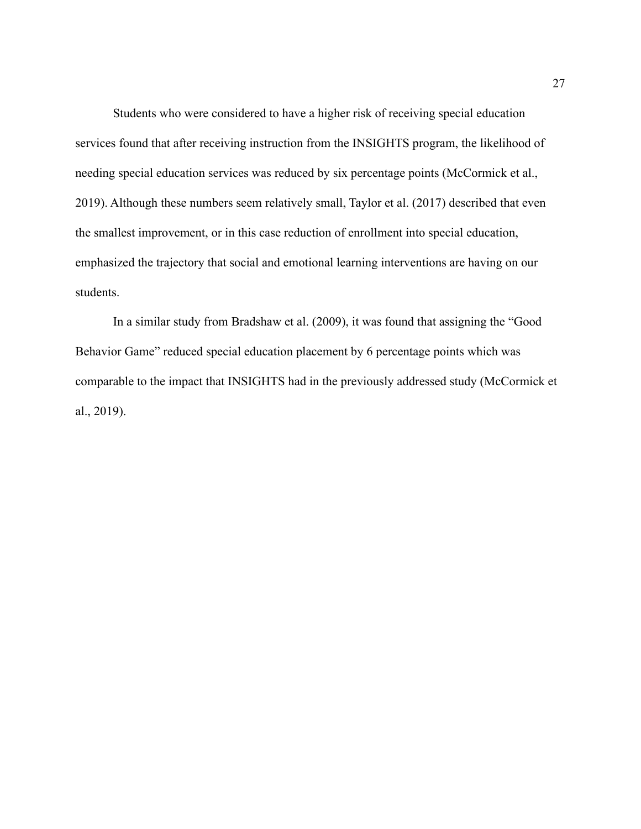Students who were considered to have a higher risk of receiving special education services found that after receiving instruction from the INSIGHTS program, the likelihood of needing special education services was reduced by six percentage points (McCormick et al., 2019). Although these numbers seem relatively small, Taylor et al. (2017) described that even the smallest improvement, or in this case reduction of enrollment into special education, emphasized the trajectory that social and emotional learning interventions are having on our students.

In a similar study from Bradshaw et al. (2009), it was found that assigning the "Good Behavior Game" reduced special education placement by 6 percentage points which was comparable to the impact that INSIGHTS had in the previously addressed study (McCormick et al., 2019).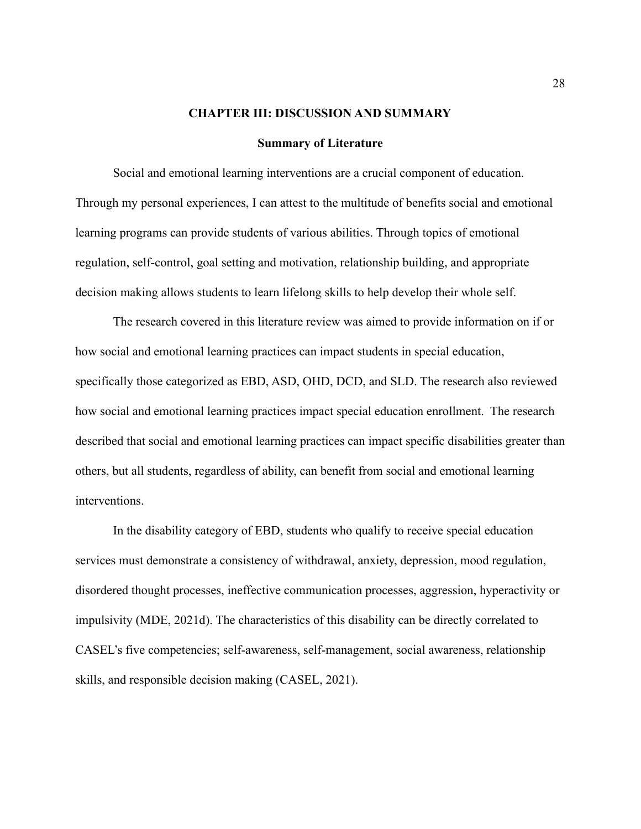#### **CHAPTER III: DISCUSSION AND SUMMARY**

#### **Summary of Literature**

Social and emotional learning interventions are a crucial component of education. Through my personal experiences, I can attest to the multitude of benefits social and emotional learning programs can provide students of various abilities. Through topics of emotional regulation, self-control, goal setting and motivation, relationship building, and appropriate decision making allows students to learn lifelong skills to help develop their whole self.

The research covered in this literature review was aimed to provide information on if or how social and emotional learning practices can impact students in special education, specifically those categorized as EBD, ASD, OHD, DCD, and SLD. The research also reviewed how social and emotional learning practices impact special education enrollment. The research described that social and emotional learning practices can impact specific disabilities greater than others, but all students, regardless of ability, can benefit from social and emotional learning interventions.

In the disability category of EBD, students who qualify to receive special education services must demonstrate a consistency of withdrawal, anxiety, depression, mood regulation, disordered thought processes, ineffective communication processes, aggression, hyperactivity or impulsivity (MDE, 2021d). The characteristics of this disability can be directly correlated to CASEL's five competencies; self-awareness, self-management, social awareness, relationship skills, and responsible decision making (CASEL, 2021).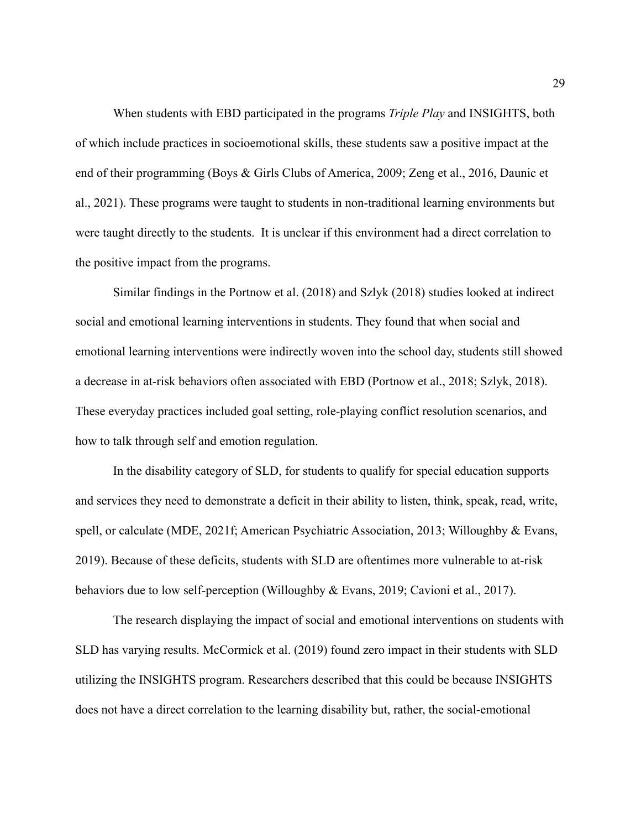When students with EBD participated in the programs *Triple Play* and INSIGHTS, both of which include practices in socioemotional skills, these students saw a positive impact at the end of their programming (Boys & Girls Clubs of America, 2009; Zeng et al., 2016, Daunic et al., 2021). These programs were taught to students in non-traditional learning environments but were taught directly to the students. It is unclear if this environment had a direct correlation to the positive impact from the programs.

Similar findings in the Portnow et al. (2018) and Szlyk (2018) studies looked at indirect social and emotional learning interventions in students. They found that when social and emotional learning interventions were indirectly woven into the school day, students still showed a decrease in at-risk behaviors often associated with EBD (Portnow et al., 2018; Szlyk, 2018). These everyday practices included goal setting, role-playing conflict resolution scenarios, and how to talk through self and emotion regulation.

In the disability category of SLD, for students to qualify for special education supports and services they need to demonstrate a deficit in their ability to listen, think, speak, read, write, spell, or calculate (MDE, 2021f; American Psychiatric Association, 2013; Willoughby & Evans, 2019). Because of these deficits, students with SLD are oftentimes more vulnerable to at-risk behaviors due to low self-perception (Willoughby & Evans, 2019; Cavioni et al., 2017).

The research displaying the impact of social and emotional interventions on students with SLD has varying results. McCormick et al. (2019) found zero impact in their students with SLD utilizing the INSIGHTS program. Researchers described that this could be because INSIGHTS does not have a direct correlation to the learning disability but, rather, the social-emotional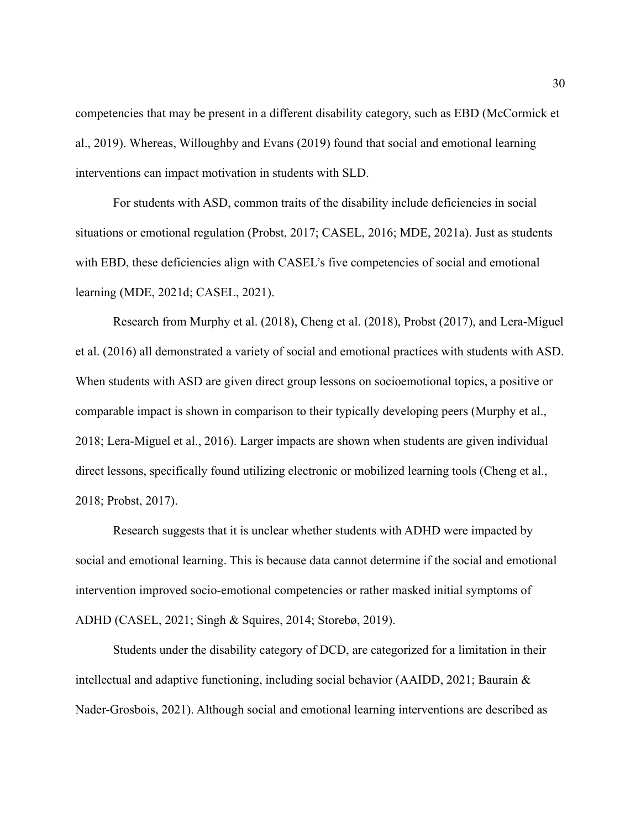competencies that may be present in a different disability category, such as EBD (McCormick et al., 2019). Whereas, Willoughby and Evans (2019) found that social and emotional learning interventions can impact motivation in students with SLD.

For students with ASD, common traits of the disability include deficiencies in social situations or emotional regulation (Probst, 2017; CASEL, 2016; MDE, 2021a). Just as students with EBD, these deficiencies align with CASEL's five competencies of social and emotional learning (MDE, 2021d; CASEL, 2021).

Research from Murphy et al. (2018), Cheng et al. (2018), Probst (2017), and Lera-Miguel et al. (2016) all demonstrated a variety of social and emotional practices with students with ASD. When students with ASD are given direct group lessons on socioemotional topics, a positive or comparable impact is shown in comparison to their typically developing peers (Murphy et al., 2018; Lera-Miguel et al., 2016). Larger impacts are shown when students are given individual direct lessons, specifically found utilizing electronic or mobilized learning tools (Cheng et al., 2018; Probst, 2017).

Research suggests that it is unclear whether students with ADHD were impacted by social and emotional learning. This is because data cannot determine if the social and emotional intervention improved socio-emotional competencies or rather masked initial symptoms of ADHD (CASEL, 2021; Singh & Squires, 2014; Storebø, 2019).

Students under the disability category of DCD, are categorized for a limitation in their intellectual and adaptive functioning, including social behavior (AAIDD, 2021; Baurain & Nader-Grosbois, 2021). Although social and emotional learning interventions are described as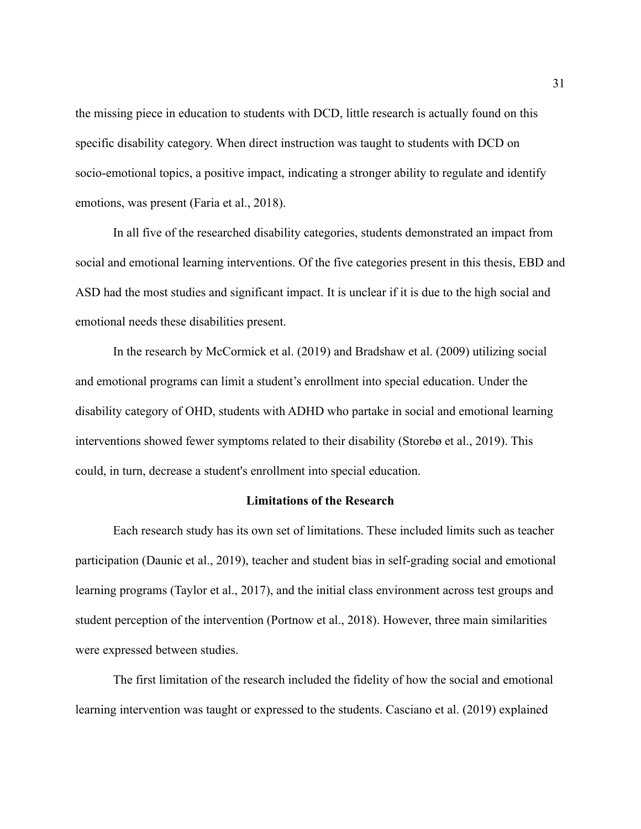the missing piece in education to students with DCD, little research is actually found on this specific disability category. When direct instruction was taught to students with DCD on socio-emotional topics, a positive impact, indicating a stronger ability to regulate and identify emotions, was present (Faria et al., 2018).

In all five of the researched disability categories, students demonstrated an impact from social and emotional learning interventions. Of the five categories present in this thesis, EBD and ASD had the most studies and significant impact. It is unclear if it is due to the high social and emotional needs these disabilities present.

In the research by McCormick et al. (2019) and Bradshaw et al. (2009) utilizing social and emotional programs can limit a student's enrollment into special education. Under the disability category of OHD, students with ADHD who partake in social and emotional learning interventions showed fewer symptoms related to their disability (Storebø et al., 2019). This could, in turn, decrease a student's enrollment into special education.

### **Limitations of the Research**

Each research study has its own set of limitations. These included limits such as teacher participation (Daunic et al., 2019), teacher and student bias in self-grading social and emotional learning programs (Taylor et al., 2017), and the initial class environment across test groups and student perception of the intervention (Portnow et al., 2018). However, three main similarities were expressed between studies.

The first limitation of the research included the fidelity of how the social and emotional learning intervention was taught or expressed to the students. Casciano et al. (2019) explained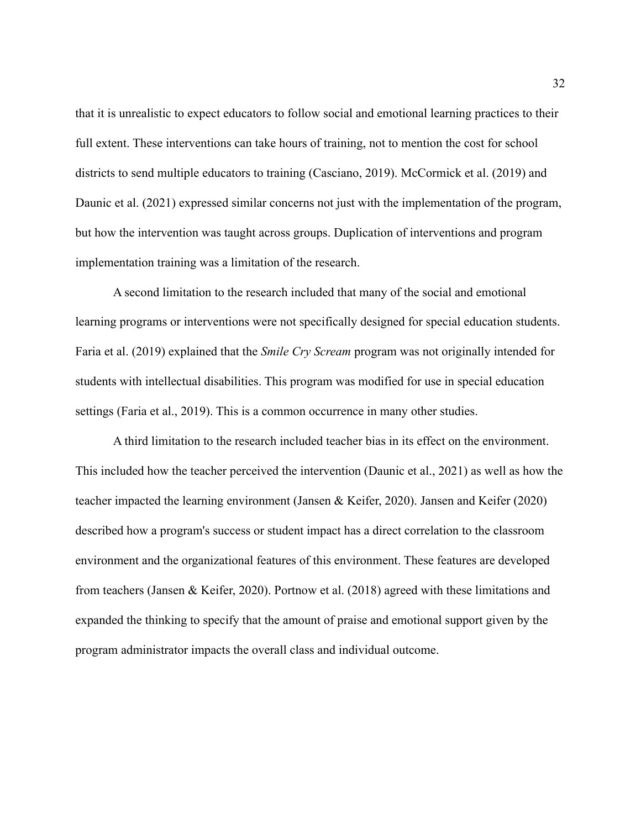that it is unrealistic to expect educators to follow social and emotional learning practices to their full extent. These interventions can take hours of training, not to mention the cost for school districts to send multiple educators to training (Casciano, 2019). McCormick et al. (2019) and Daunic et al. (2021) expressed similar concerns not just with the implementation of the program, but how the intervention was taught across groups. Duplication of interventions and program implementation training was a limitation of the research.

A second limitation to the research included that many of the social and emotional learning programs or interventions were not specifically designed for special education students. Faria et al. (2019) explained that the *Smile Cry Scream* program was not originally intended for students with intellectual disabilities. This program was modified for use in special education settings (Faria et al., 2019). This is a common occurrence in many other studies.

A third limitation to the research included teacher bias in its effect on the environment. This included how the teacher perceived the intervention (Daunic et al., 2021) as well as how the teacher impacted the learning environment (Jansen & Keifer, 2020). Jansen and Keifer (2020) described how a program's success or student impact has a direct correlation to the classroom environment and the organizational features of this environment. These features are developed from teachers (Jansen & Keifer, 2020). Portnow et al. (2018) agreed with these limitations and expanded the thinking to specify that the amount of praise and emotional support given by the program administrator impacts the overall class and individual outcome.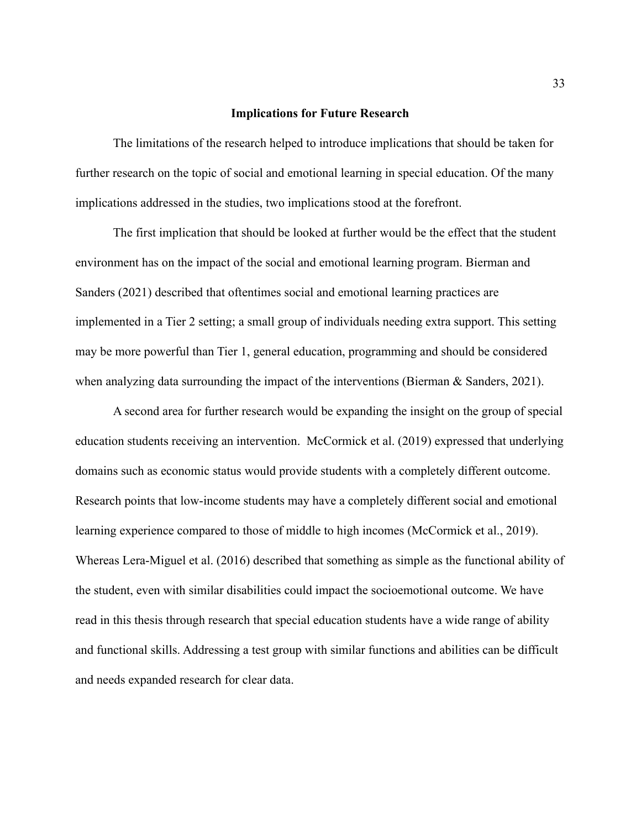#### **Implications for Future Research**

The limitations of the research helped to introduce implications that should be taken for further research on the topic of social and emotional learning in special education. Of the many implications addressed in the studies, two implications stood at the forefront.

The first implication that should be looked at further would be the effect that the student environment has on the impact of the social and emotional learning program. Bierman and Sanders (2021) described that oftentimes social and emotional learning practices are implemented in a Tier 2 setting; a small group of individuals needing extra support. This setting may be more powerful than Tier 1, general education, programming and should be considered when analyzing data surrounding the impact of the interventions (Bierman & Sanders, 2021).

A second area for further research would be expanding the insight on the group of special education students receiving an intervention. McCormick et al. (2019) expressed that underlying domains such as economic status would provide students with a completely different outcome. Research points that low-income students may have a completely different social and emotional learning experience compared to those of middle to high incomes (McCormick et al., 2019). Whereas Lera-Miguel et al. (2016) described that something as simple as the functional ability of the student, even with similar disabilities could impact the socioemotional outcome. We have read in this thesis through research that special education students have a wide range of ability and functional skills. Addressing a test group with similar functions and abilities can be difficult and needs expanded research for clear data.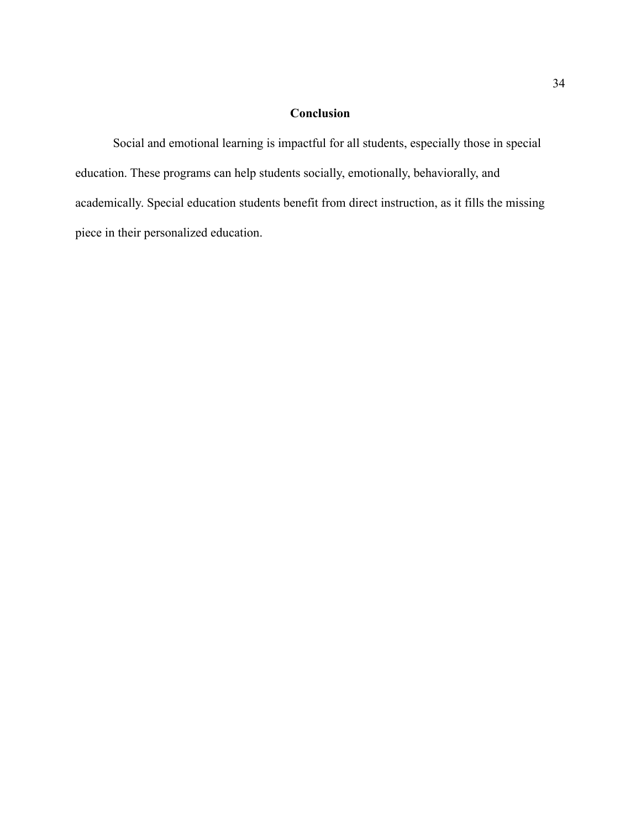# **Conclusion**

Social and emotional learning is impactful for all students, especially those in special education. These programs can help students socially, emotionally, behaviorally, and academically. Special education students benefit from direct instruction, as it fills the missing piece in their personalized education.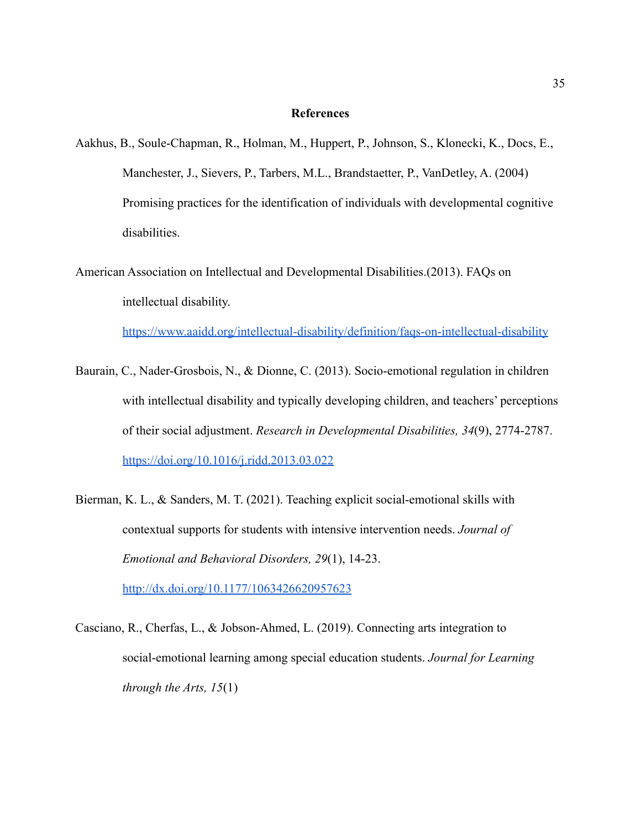#### **References**

- Aakhus, B., Soule-Chapman, R., Holman, M., Huppert, P., Johnson, S., Klonecki, K., Docs, E., Manchester, J., Sievers, P., Tarbers, M.L., Brandstaetter, P., VanDetley, A. (2004) Promising practices for the identification of individuals with developmental cognitive disabilities.
- American Association on Intellectual and Developmental Disabilities.(2013). FAQs on intellectual disability.

<https://www.aaidd.org/intellectual-disability/definition/faqs-on-intellectual-disability>

- Baurain, C., Nader-Grosbois, N., & Dionne, C. (2013). Socio-emotional regulation in children with intellectual disability and typically developing children, and teachers' perceptions of their social adjustment. *Research in Developmental Disabilities, 34*(9), 2774-2787. <https://doi.org/10.1016/j.ridd.2013.03.022>
- Bierman, K. L., & Sanders, M. T. (2021). Teaching explicit social-emotional skills with contextual supports for students with intensive intervention needs. *Journal of Emotional and Behavioral Disorders, 29*(1), 14-23. <http://dx.doi.org/10.1177/1063426620957623>
- Casciano, R., Cherfas, L., & Jobson-Ahmed, L. (2019). Connecting arts integration to social-emotional learning among special education students. *Journal for Learning through the Arts, 15*(1)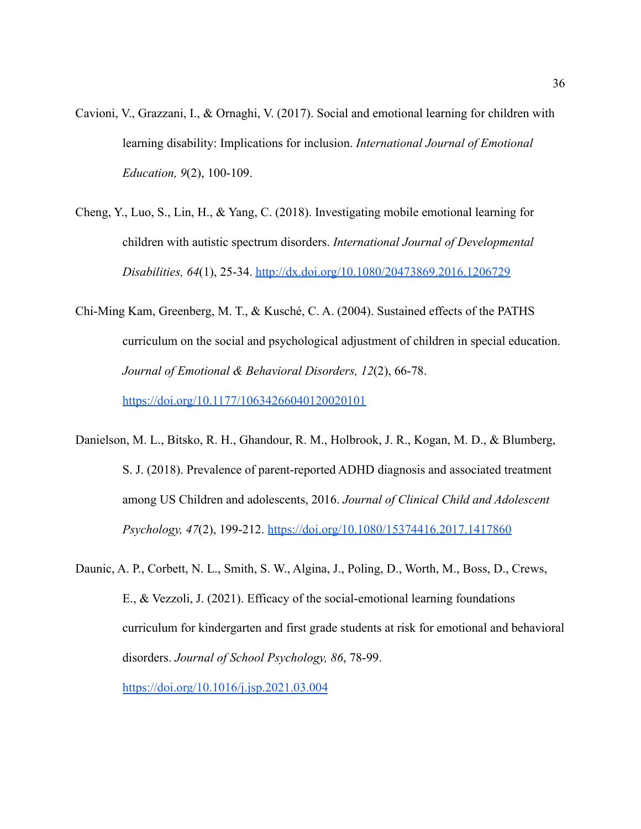- Cavioni, V., Grazzani, I., & Ornaghi, V. (2017). Social and emotional learning for children with learning disability: Implications for inclusion. *International Journal of Emotional Education, 9*(2), 100-109.
- Cheng, Y., Luo, S., Lin, H., & Yang, C. (2018). Investigating mobile emotional learning for children with autistic spectrum disorders. *International Journal of Developmental Disabilities, 64*(1), 25-34. <http://dx.doi.org/10.1080/20473869.2016.1206729>
- Chi-Ming Kam, Greenberg, M. T., & Kusché, C. A. (2004). Sustained effects of the PATHS curriculum on the social and psychological adjustment of children in special education. *Journal of Emotional & Behavioral Disorders, 12*(2), 66-78. <https://doi.org/10.1177/10634266040120020101>
- Danielson, M. L., Bitsko, R. H., Ghandour, R. M., Holbrook, J. R., Kogan, M. D., & Blumberg, S. J. (2018). Prevalence of parent-reported ADHD diagnosis and associated treatment among US Children and adolescents, 2016. *Journal of Clinical Child and Adolescent Psychology, 47*(2), 199-212. <https://doi.org/10.1080/15374416.2017.1417860>
- Daunic, A. P., Corbett, N. L., Smith, S. W., Algina, J., Poling, D., Worth, M., Boss, D., Crews, E., & Vezzoli, J. (2021). Efficacy of the social-emotional learning foundations curriculum for kindergarten and first grade students at risk for emotional and behavioral disorders. *Journal of School Psychology, 86*, 78-99.

<https://doi.org/10.1016/j.jsp.2021.03.004>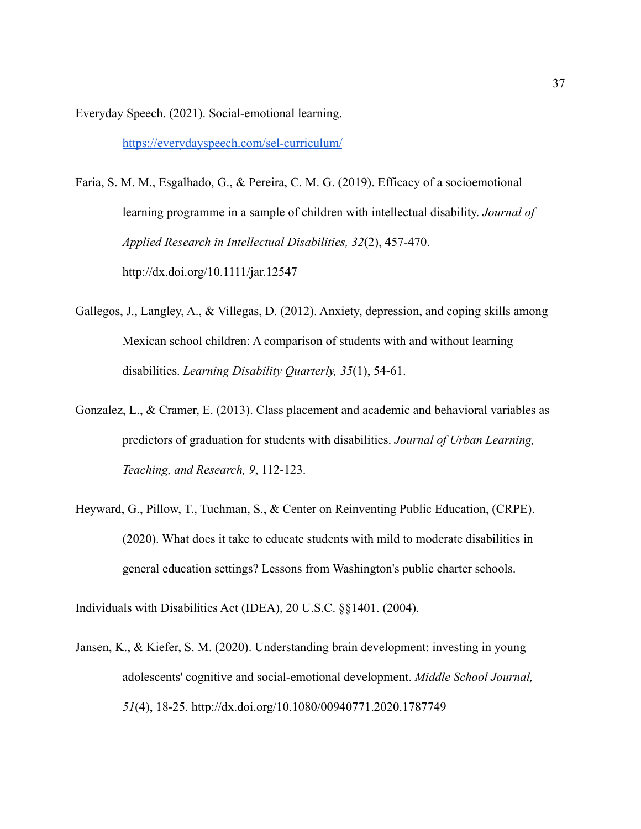Everyday Speech. (2021). Social-emotional learning.

<https://everydayspeech.com/sel-curriculum/>

- Faria, S. M. M., Esgalhado, G., & Pereira, C. M. G. (2019). Efficacy of a socioemotional learning programme in a sample of children with intellectual disability. *Journal of Applied Research in Intellectual Disabilities, 32*(2), 457-470. <http://dx.doi.org/10.1111/jar.12547>
- Gallegos, J., Langley, A., & Villegas, D. (2012). Anxiety, depression, and coping skills among Mexican school children: A comparison of students with and without learning disabilities. *Learning Disability Quarterly, 35*(1), 54-61.
- Gonzalez, L., & Cramer, E. (2013). Class placement and academic and behavioral variables as predictors of graduation for students with disabilities. *Journal of Urban Learning, Teaching, and Research, 9*, 112-123.
- Heyward, G., Pillow, T., Tuchman, S., & Center on Reinventing Public Education, (CRPE). (2020). What does it take to educate students with mild to moderate disabilities in general education settings? Lessons from Washington's public charter schools.

Individuals with Disabilities Act (IDEA), 20 U.S.C. §§1401. (2004).

Jansen, K., & Kiefer, S. M. (2020). Understanding brain development: investing in young adolescents' cognitive and social-emotional development. *Middle School Journal, 51*(4), 18-25.<http://dx.doi.org/10.1080/00940771.2020.1787749>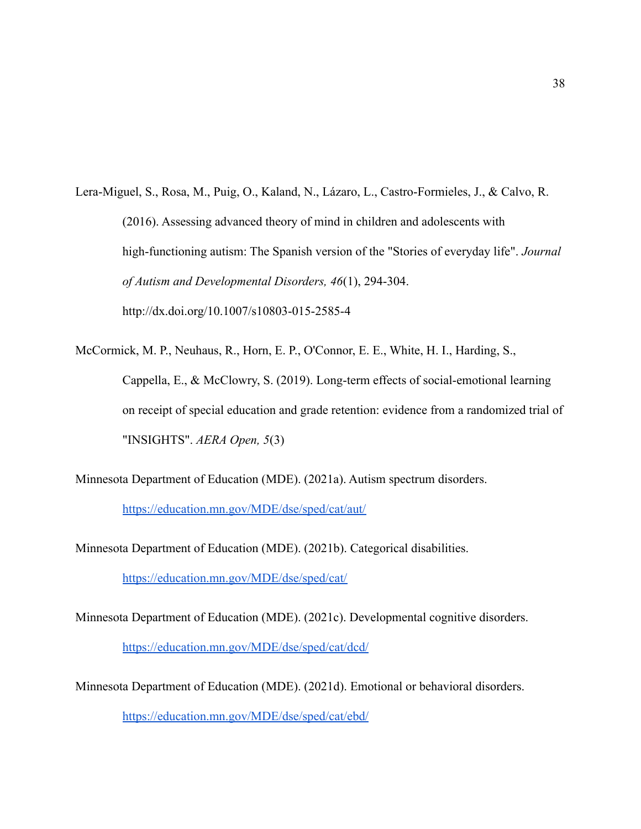Lera-Miguel, S., Rosa, M., Puig, O., Kaland, N., Lázaro, L., Castro-Formieles, J., & Calvo, R. (2016). Assessing advanced theory of mind in children and adolescents with high-functioning autism: The Spanish version of the "Stories of everyday life". *Journal of Autism and Developmental Disorders, 46*(1), 294-304. <http://dx.doi.org/10.1007/s10803-015-2585-4>

McCormick, M. P., Neuhaus, R., Horn, E. P., O'Connor, E. E., White, H. I., Harding, S., Cappella, E., & McClowry, S. (2019). Long-term effects of social-emotional learning on receipt of special education and grade retention: evidence from a randomized trial of "INSIGHTS". *AERA Open, 5*(3)

Minnesota Department of Education (MDE). (2021a). Autism spectrum disorders.

[https://education.mn.gov/MDE/dse/sped/cat/aut/](https://education.mn.gov/MDE/dse/sped/cat/aut/%5C)

Minnesota Department of Education (MDE). (2021b). Categorical disabilities.

<https://education.mn.gov/MDE/dse/sped/cat/>

Minnesota Department of Education (MDE). (2021c). Developmental cognitive disorders. <https://education.mn.gov/MDE/dse/sped/cat/dcd/>

Minnesota Department of Education (MDE). (2021d). Emotional or behavioral disorders.

<https://education.mn.gov/MDE/dse/sped/cat/ebd/>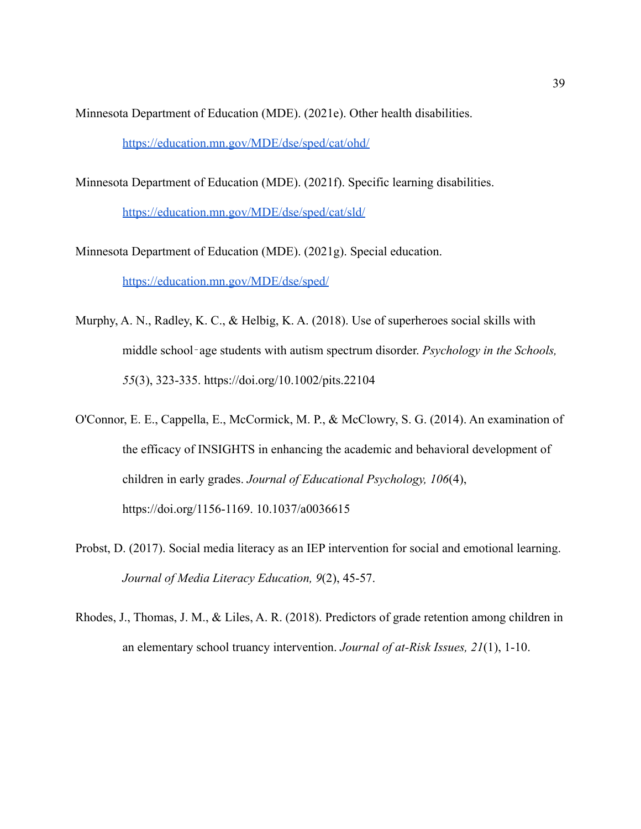Minnesota Department of Education (MDE). (2021e). Other health disabilities.

<https://education.mn.gov/MDE/dse/sped/cat/ohd/>

Minnesota Department of Education (MDE). (2021f). Specific learning disabilities.

<https://education.mn.gov/MDE/dse/sped/cat/sld/>

Minnesota Department of Education (MDE). (2021g). Special education.

<https://education.mn.gov/MDE/dse/sped/>

- Murphy, A. N., Radley, K. C., & Helbig, K. A. (2018). Use of superheroes social skills with middle school‐age students with autism spectrum disorder. *Psychology in the Schools, 55*(3), 323-335. https://doi.org/10.1002/pits.22104
- O'Connor, E. E., Cappella, E., McCormick, M. P., & McClowry, S. G. (2014). An examination of the efficacy of INSIGHTS in enhancing the academic and behavioral development of children in early grades. *Journal of Educational Psychology, 106*(4), https://doi.org/1156-1169. 10.1037/a0036615
- Probst, D. (2017). Social media literacy as an IEP intervention for social and emotional learning. *Journal of Media Literacy Education, 9*(2), 45-57.
- Rhodes, J., Thomas, J. M., & Liles, A. R. (2018). Predictors of grade retention among children in an elementary school truancy intervention. *Journal of at-Risk Issues, 21*(1), 1-10.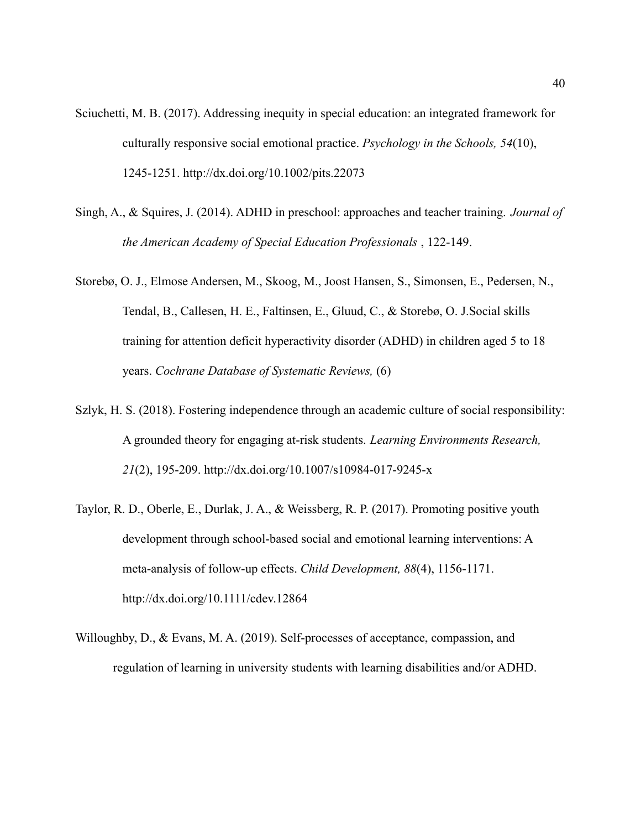- Sciuchetti, M. B. (2017). Addressing inequity in special education: an integrated framework for culturally responsive social emotional practice. *Psychology in the Schools, 54*(10), 1245-1251.<http://dx.doi.org/10.1002/pits.22073>
- Singh, A., & Squires, J. (2014). ADHD in preschool: approaches and teacher training. *Journal of the American Academy of Special Education Professionals* , 122-149.
- Storebø, O. J., Elmose Andersen, M., Skoog, M., Joost Hansen, S., Simonsen, E., Pedersen, N., Tendal, B., Callesen, H. E., Faltinsen, E., Gluud, C., & Storebø, O. J.Social skills training for attention deficit hyperactivity disorder (ADHD) in children aged 5 to 18 years. *Cochrane Database of Systematic Reviews,* (6)
- Szlyk, H. S. (2018). Fostering independence through an academic culture of social responsibility: A grounded theory for engaging at-risk students. *Learning Environments Research, 21*(2), 195-209.<http://dx.doi.org/10.1007/s10984-017-9245-x>
- Taylor, R. D., Oberle, E., Durlak, J. A., & Weissberg, R. P. (2017). Promoting positive youth development through school-based social and emotional learning interventions: A meta-analysis of follow-up effects. *Child Development, 88*(4), 1156-1171. <http://dx.doi.org/10.1111/cdev.12864>
- Willoughby, D., & Evans, M. A. (2019). Self-processes of acceptance, compassion, and regulation of learning in university students with learning disabilities and/or ADHD.